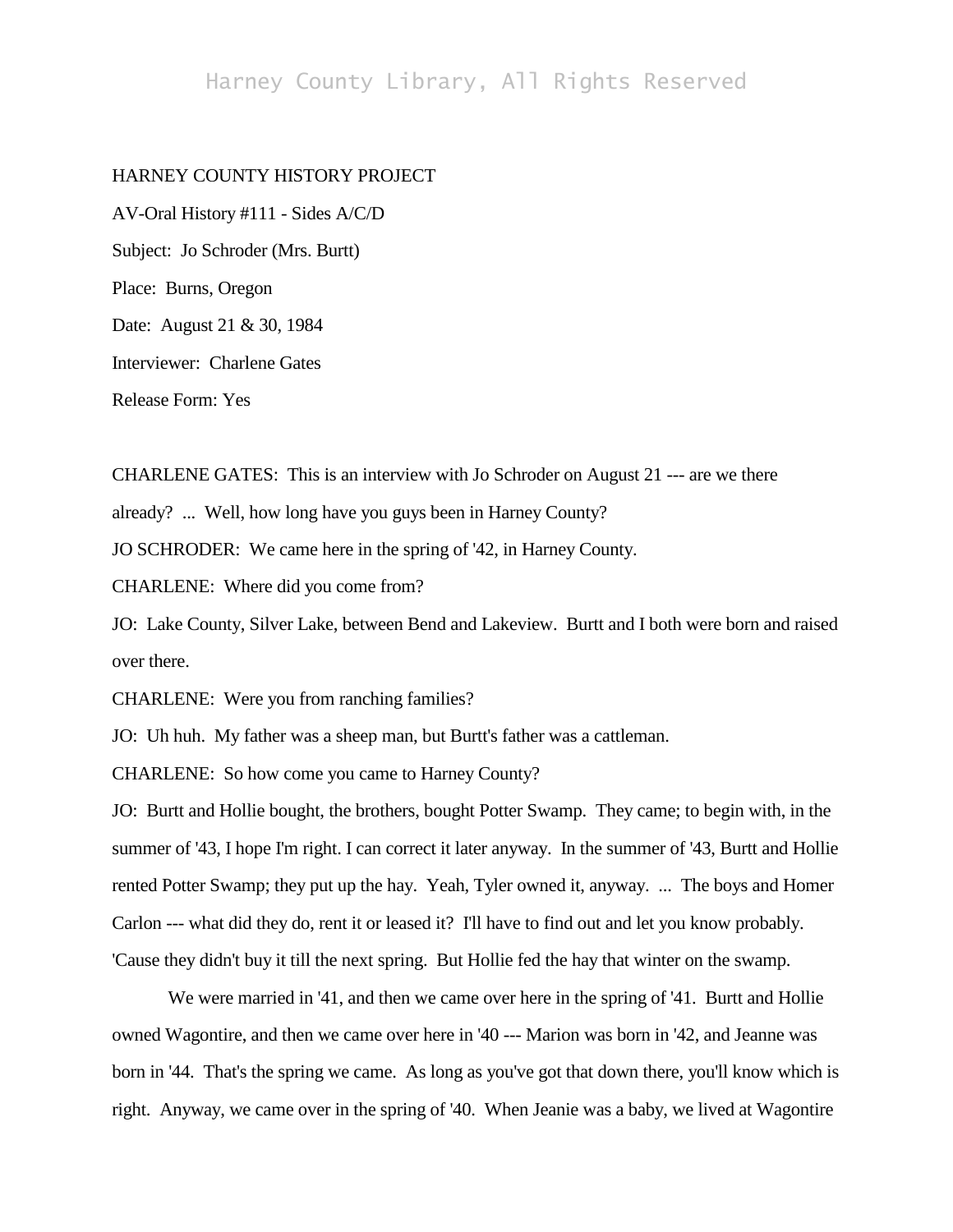# Harney County Library, All Rights Reserved

## HARNEY COUNTY HISTORY PROJECT

AV-Oral History #111 - Sides A/C/D Subject: Jo Schroder (Mrs. Burtt) Place: Burns, Oregon Date: August 21 & 30, 1984 Interviewer: Charlene Gates Release Form: Yes

CHARLENE GATES: This is an interview with Jo Schroder on August 21 --- are we there already? ... Well, how long have you guys been in Harney County? JO SCHRODER: We came here in the spring of '42, in Harney County.

CHARLENE: Where did you come from?

JO: Lake County, Silver Lake, between Bend and Lakeview. Burtt and I both were born and raised over there.

CHARLENE: Were you from ranching families?

JO: Uh huh. My father was a sheep man, but Burtt's father was a cattleman.

CHARLENE: So how come you came to Harney County?

JO: Burtt and Hollie bought, the brothers, bought Potter Swamp. They came; to begin with, in the summer of '43, I hope I'm right. I can correct it later anyway. In the summer of '43, Burtt and Hollie rented Potter Swamp; they put up the hay. Yeah, Tyler owned it, anyway. ... The boys and Homer Carlon --- what did they do, rent it or leased it? I'll have to find out and let you know probably. 'Cause they didn't buy it till the next spring. But Hollie fed the hay that winter on the swamp.

We were married in '41, and then we came over here in the spring of '41. Burtt and Hollie owned Wagontire, and then we came over here in '40 --- Marion was born in '42, and Jeanne was born in '44. That's the spring we came. As long as you've got that down there, you'll know which is right. Anyway, we came over in the spring of '40. When Jeanie was a baby, we lived at Wagontire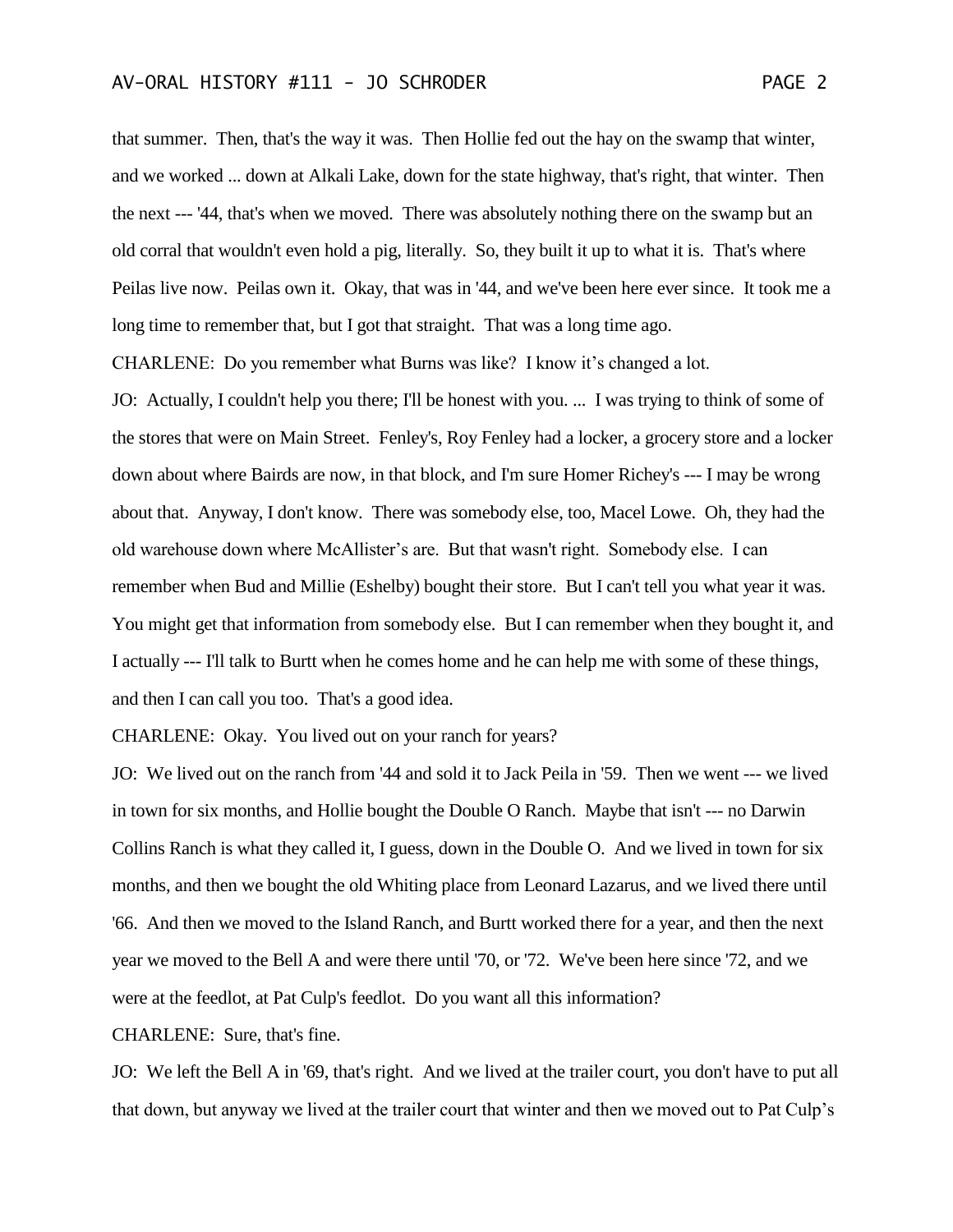that summer. Then, that's the way it was. Then Hollie fed out the hay on the swamp that winter, and we worked ... down at Alkali Lake, down for the state highway, that's right, that winter. Then the next --- '44, that's when we moved. There was absolutely nothing there on the swamp but an old corral that wouldn't even hold a pig, literally. So, they built it up to what it is. That's where Peilas live now. Peilas own it. Okay, that was in '44, and we've been here ever since. It took me a long time to remember that, but I got that straight. That was a long time ago.

CHARLENE: Do you remember what Burns was like? I know it's changed a lot.

JO: Actually, I couldn't help you there; I'll be honest with you. ... I was trying to think of some of the stores that were on Main Street. Fenley's, Roy Fenley had a locker, a grocery store and a locker down about where Bairds are now, in that block, and I'm sure Homer Richey's --- I may be wrong about that. Anyway, I don't know. There was somebody else, too, Macel Lowe. Oh, they had the old warehouse down where McAllister's are. But that wasn't right. Somebody else. I can remember when Bud and Millie (Eshelby) bought their store. But I can't tell you what year it was. You might get that information from somebody else. But I can remember when they bought it, and I actually --- I'll talk to Burtt when he comes home and he can help me with some of these things, and then I can call you too. That's a good idea.

CHARLENE: Okay. You lived out on your ranch for years?

JO: We lived out on the ranch from '44 and sold it to Jack Peila in '59. Then we went --- we lived in town for six months, and Hollie bought the Double O Ranch. Maybe that isn't --- no Darwin Collins Ranch is what they called it, I guess, down in the Double O. And we lived in town for six months, and then we bought the old Whiting place from Leonard Lazarus, and we lived there until '66. And then we moved to the Island Ranch, and Burtt worked there for a year, and then the next year we moved to the Bell A and were there until '70, or '72. We've been here since '72, and we were at the feedlot, at Pat Culp's feedlot. Do you want all this information?

CHARLENE: Sure, that's fine.

JO: We left the Bell A in '69, that's right. And we lived at the trailer court, you don't have to put all that down, but anyway we lived at the trailer court that winter and then we moved out to Pat Culp's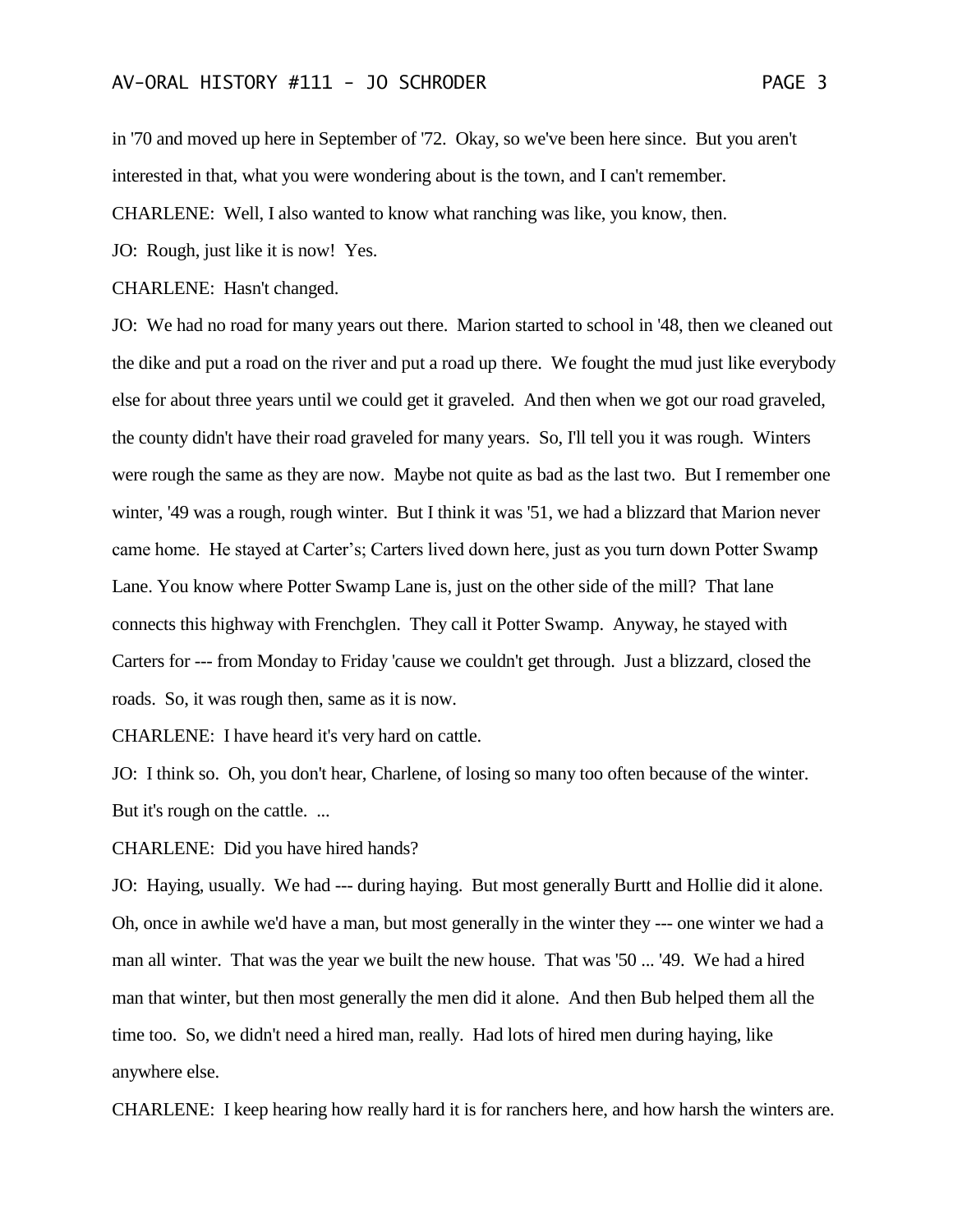in '70 and moved up here in September of '72. Okay, so we've been here since. But you aren't interested in that, what you were wondering about is the town, and I can't remember.

CHARLENE: Well, I also wanted to know what ranching was like, you know, then.

JO: Rough, just like it is now! Yes.

CHARLENE: Hasn't changed.

JO: We had no road for many years out there. Marion started to school in '48, then we cleaned out the dike and put a road on the river and put a road up there. We fought the mud just like everybody else for about three years until we could get it graveled. And then when we got our road graveled, the county didn't have their road graveled for many years. So, I'll tell you it was rough. Winters were rough the same as they are now. Maybe not quite as bad as the last two. But I remember one winter, '49 was a rough, rough winter. But I think it was '51, we had a blizzard that Marion never came home. He stayed at Carter's; Carters lived down here, just as you turn down Potter Swamp Lane. You know where Potter Swamp Lane is, just on the other side of the mill? That lane connects this highway with Frenchglen. They call it Potter Swamp. Anyway, he stayed with Carters for --- from Monday to Friday 'cause we couldn't get through. Just a blizzard, closed the roads. So, it was rough then, same as it is now.

CHARLENE: I have heard it's very hard on cattle.

JO: I think so. Oh, you don't hear, Charlene, of losing so many too often because of the winter. But it's rough on the cattle. ...

CHARLENE: Did you have hired hands?

JO: Haying, usually. We had --- during haying. But most generally Burtt and Hollie did it alone. Oh, once in awhile we'd have a man, but most generally in the winter they --- one winter we had a man all winter. That was the year we built the new house. That was '50 ... '49. We had a hired man that winter, but then most generally the men did it alone. And then Bub helped them all the time too. So, we didn't need a hired man, really. Had lots of hired men during haying, like anywhere else.

CHARLENE: I keep hearing how really hard it is for ranchers here, and how harsh the winters are.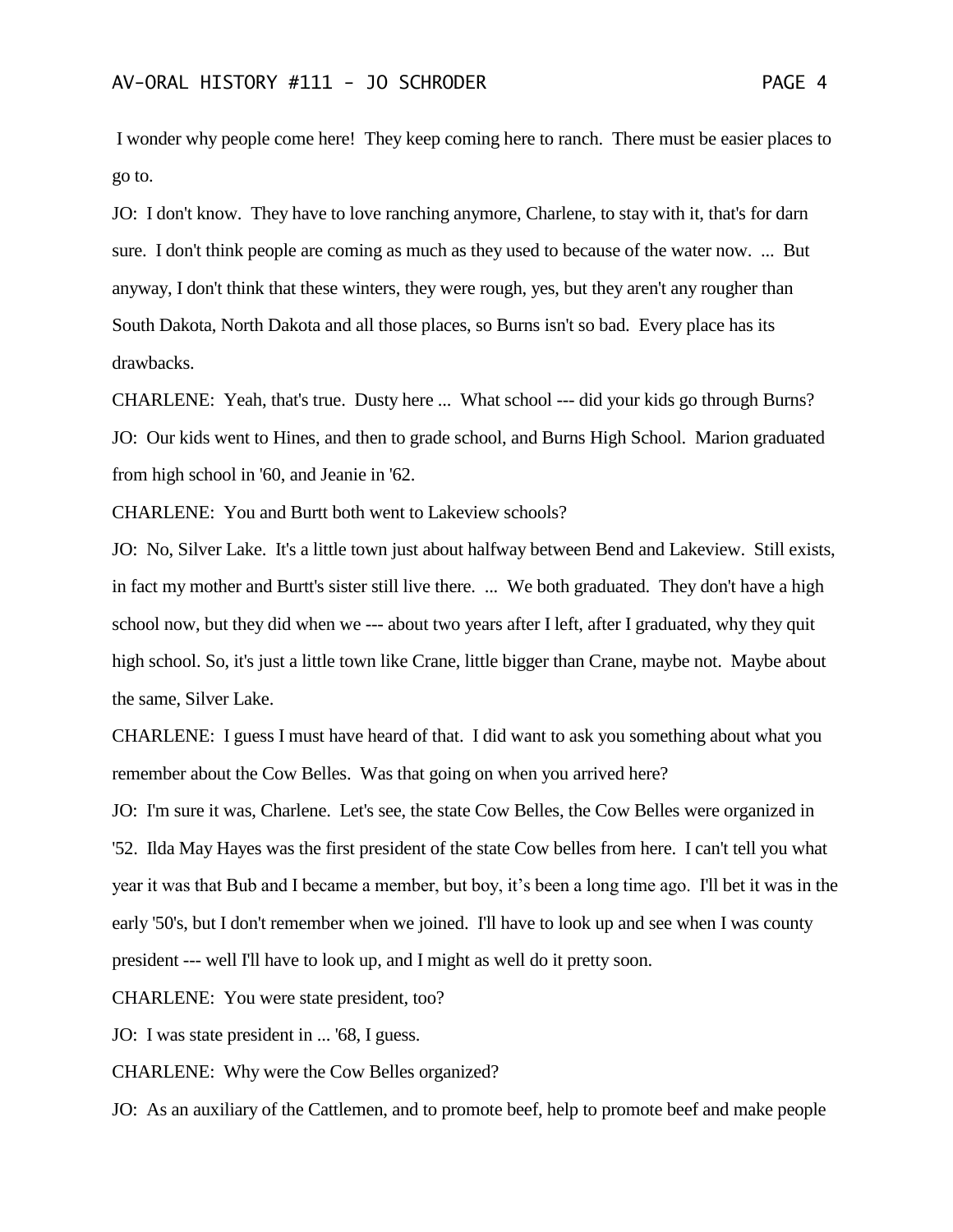I wonder why people come here! They keep coming here to ranch. There must be easier places to go to.

JO: I don't know. They have to love ranching anymore, Charlene, to stay with it, that's for darn sure. I don't think people are coming as much as they used to because of the water now. ... But anyway, I don't think that these winters, they were rough, yes, but they aren't any rougher than South Dakota, North Dakota and all those places, so Burns isn't so bad. Every place has its drawbacks.

CHARLENE: Yeah, that's true. Dusty here ... What school --- did your kids go through Burns? JO: Our kids went to Hines, and then to grade school, and Burns High School. Marion graduated from high school in '60, and Jeanie in '62.

CHARLENE: You and Burtt both went to Lakeview schools?

JO: No, Silver Lake. It's a little town just about halfway between Bend and Lakeview. Still exists, in fact my mother and Burtt's sister still live there. ... We both graduated. They don't have a high school now, but they did when we --- about two years after I left, after I graduated, why they quit high school. So, it's just a little town like Crane, little bigger than Crane, maybe not. Maybe about the same, Silver Lake.

CHARLENE: I guess I must have heard of that. I did want to ask you something about what you remember about the Cow Belles. Was that going on when you arrived here?

JO: I'm sure it was, Charlene. Let's see, the state Cow Belles, the Cow Belles were organized in '52. Ilda May Hayes was the first president of the state Cow belles from here. I can't tell you what year it was that Bub and I became a member, but boy, it's been a long time ago. I'll bet it was in the early '50's, but I don't remember when we joined. I'll have to look up and see when I was county president --- well I'll have to look up, and I might as well do it pretty soon.

CHARLENE: You were state president, too?

JO: I was state president in ... '68, I guess.

CHARLENE: Why were the Cow Belles organized?

JO: As an auxiliary of the Cattlemen, and to promote beef, help to promote beef and make people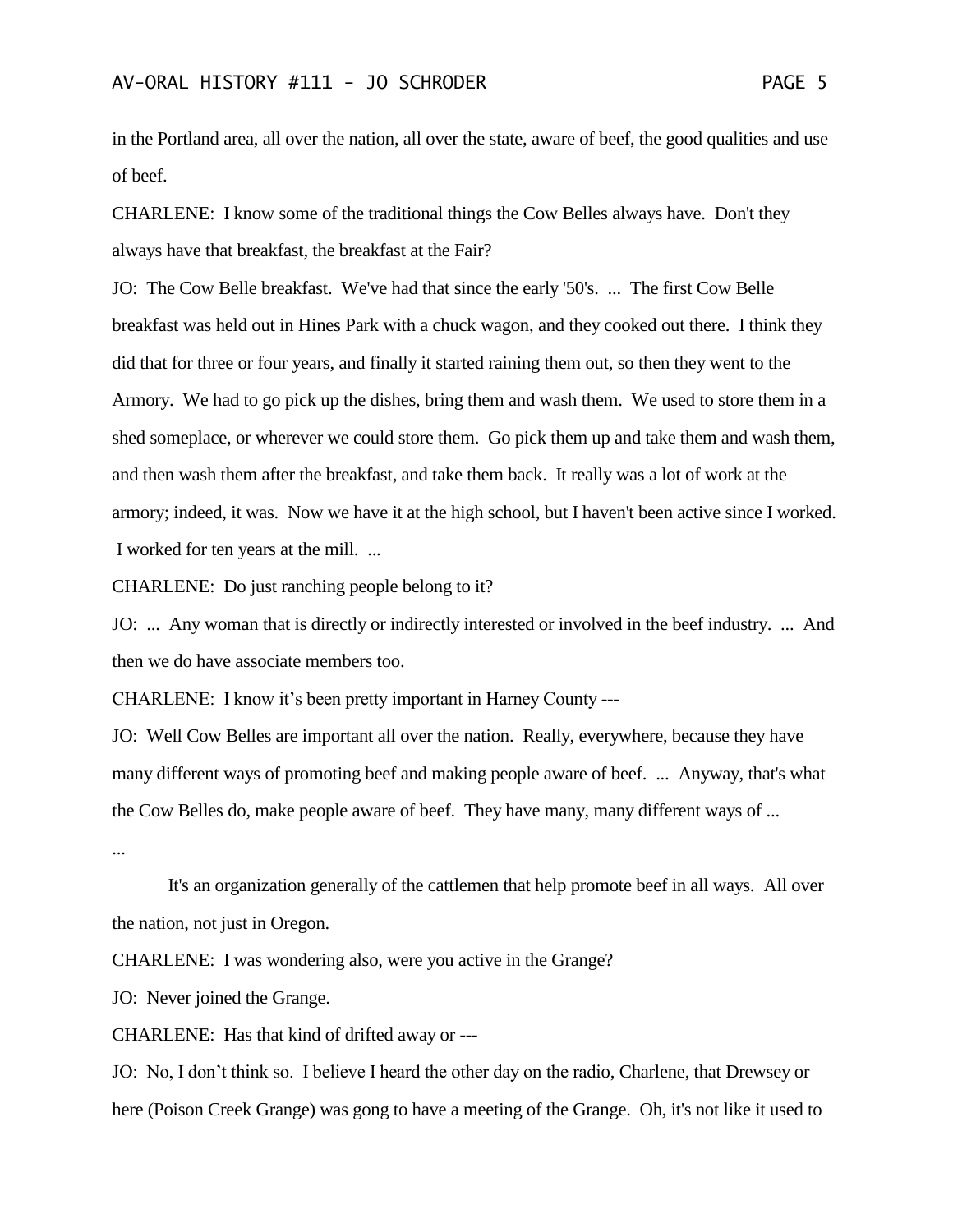in the Portland area, all over the nation, all over the state, aware of beef, the good qualities and use of beef.

CHARLENE: I know some of the traditional things the Cow Belles always have. Don't they always have that breakfast, the breakfast at the Fair?

JO: The Cow Belle breakfast. We've had that since the early '50's. ... The first Cow Belle breakfast was held out in Hines Park with a chuck wagon, and they cooked out there. I think they did that for three or four years, and finally it started raining them out, so then they went to the Armory. We had to go pick up the dishes, bring them and wash them. We used to store them in a shed someplace, or wherever we could store them. Go pick them up and take them and wash them, and then wash them after the breakfast, and take them back. It really was a lot of work at the armory; indeed, it was. Now we have it at the high school, but I haven't been active since I worked. I worked for ten years at the mill. ...

CHARLENE: Do just ranching people belong to it?

JO: ... Any woman that is directly or indirectly interested or involved in the beef industry. ... And then we do have associate members too.

CHARLENE: I know it's been pretty important in Harney County ---

JO: Well Cow Belles are important all over the nation. Really, everywhere, because they have many different ways of promoting beef and making people aware of beef. ... Anyway, that's what the Cow Belles do, make people aware of beef. They have many, many different ways of ...

...

It's an organization generally of the cattlemen that help promote beef in all ways. All over the nation, not just in Oregon.

CHARLENE: I was wondering also, were you active in the Grange?

JO: Never joined the Grange.

CHARLENE: Has that kind of drifted away or ---

JO: No, I don't think so. I believe I heard the other day on the radio, Charlene, that Drewsey or here (Poison Creek Grange) was gong to have a meeting of the Grange. Oh, it's not like it used to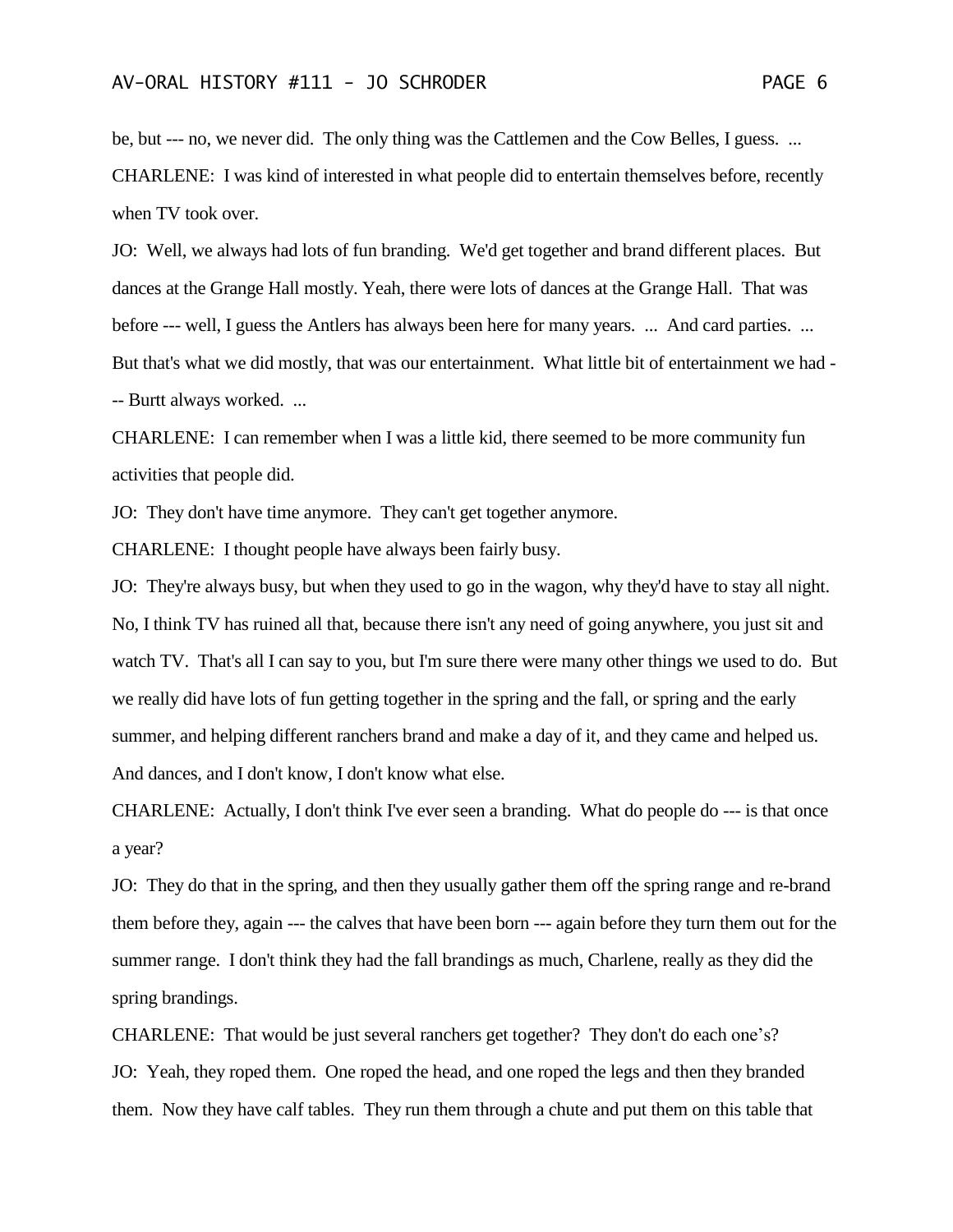be, but --- no, we never did. The only thing was the Cattlemen and the Cow Belles, I guess. ... CHARLENE: I was kind of interested in what people did to entertain themselves before, recently when TV took over.

JO: Well, we always had lots of fun branding. We'd get together and brand different places. But dances at the Grange Hall mostly. Yeah, there were lots of dances at the Grange Hall. That was before --- well, I guess the Antlers has always been here for many years. ... And card parties. ... But that's what we did mostly, that was our entertainment. What little bit of entertainment we had - -- Burtt always worked. ...

CHARLENE: I can remember when I was a little kid, there seemed to be more community fun activities that people did.

JO: They don't have time anymore. They can't get together anymore.

CHARLENE: I thought people have always been fairly busy.

JO: They're always busy, but when they used to go in the wagon, why they'd have to stay all night. No, I think TV has ruined all that, because there isn't any need of going anywhere, you just sit and watch TV. That's all I can say to you, but I'm sure there were many other things we used to do. But we really did have lots of fun getting together in the spring and the fall, or spring and the early summer, and helping different ranchers brand and make a day of it, and they came and helped us. And dances, and I don't know, I don't know what else.

CHARLENE: Actually, I don't think I've ever seen a branding. What do people do --- is that once a year?

JO: They do that in the spring, and then they usually gather them off the spring range and re-brand them before they, again --- the calves that have been born --- again before they turn them out for the summer range. I don't think they had the fall brandings as much, Charlene, really as they did the spring brandings.

CHARLENE: That would be just several ranchers get together? They don't do each one's? JO: Yeah, they roped them. One roped the head, and one roped the legs and then they branded them. Now they have calf tables. They run them through a chute and put them on this table that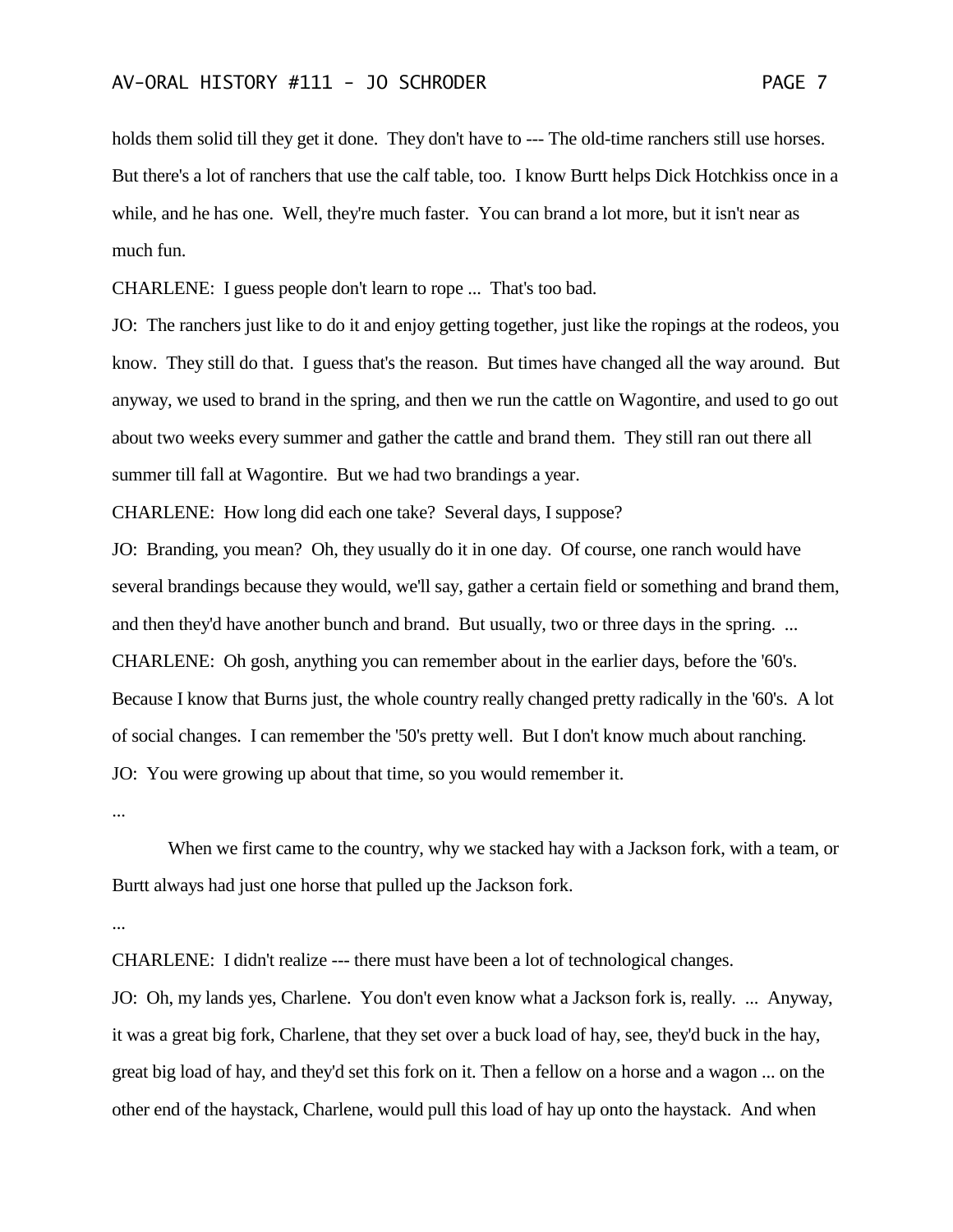holds them solid till they get it done. They don't have to --- The old-time ranchers still use horses. But there's a lot of ranchers that use the calf table, too. I know Burtt helps Dick Hotchkiss once in a while, and he has one. Well, they're much faster. You can brand a lot more, but it isn't near as much fun.

CHARLENE: I guess people don't learn to rope ... That's too bad.

JO: The ranchers just like to do it and enjoy getting together, just like the ropings at the rodeos, you know. They still do that. I guess that's the reason. But times have changed all the way around. But anyway, we used to brand in the spring, and then we run the cattle on Wagontire, and used to go out about two weeks every summer and gather the cattle and brand them. They still ran out there all summer till fall at Wagontire. But we had two brandings a year.

CHARLENE: How long did each one take? Several days, I suppose?

JO: Branding, you mean? Oh, they usually do it in one day. Of course, one ranch would have several brandings because they would, we'll say, gather a certain field or something and brand them, and then they'd have another bunch and brand. But usually, two or three days in the spring. ... CHARLENE: Oh gosh, anything you can remember about in the earlier days, before the '60's. Because I know that Burns just, the whole country really changed pretty radically in the '60's. A lot of social changes. I can remember the '50's pretty well. But I don't know much about ranching. JO: You were growing up about that time, so you would remember it.

...

When we first came to the country, why we stacked hay with a Jackson fork, with a team, or Burtt always had just one horse that pulled up the Jackson fork.

...

CHARLENE: I didn't realize --- there must have been a lot of technological changes.

JO: Oh, my lands yes, Charlene. You don't even know what a Jackson fork is, really. ... Anyway, it was a great big fork, Charlene, that they set over a buck load of hay, see, they'd buck in the hay, great big load of hay, and they'd set this fork on it. Then a fellow on a horse and a wagon ... on the other end of the haystack, Charlene, would pull this load of hay up onto the haystack. And when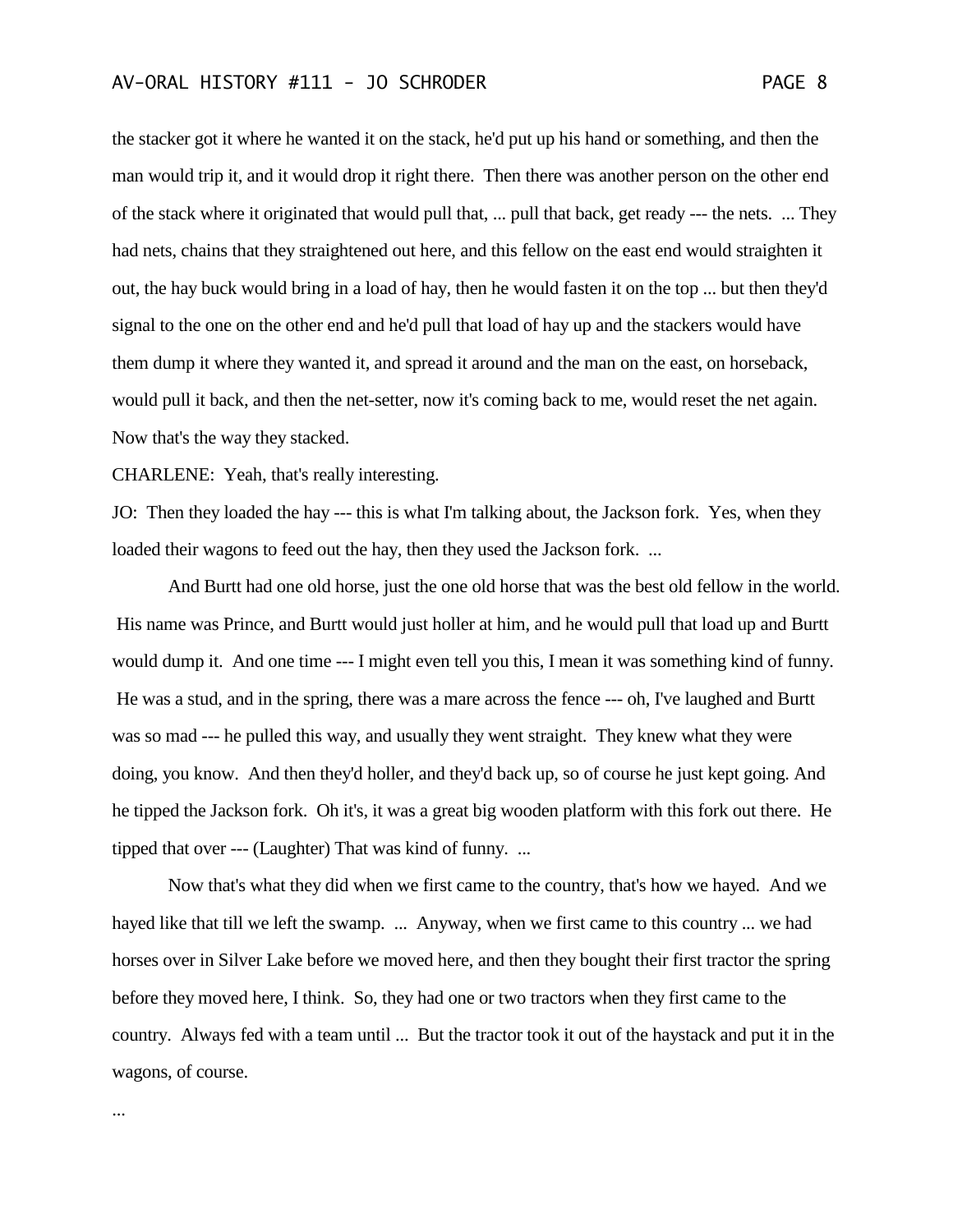the stacker got it where he wanted it on the stack, he'd put up his hand or something, and then the man would trip it, and it would drop it right there. Then there was another person on the other end of the stack where it originated that would pull that, ... pull that back, get ready --- the nets. ... They had nets, chains that they straightened out here, and this fellow on the east end would straighten it out, the hay buck would bring in a load of hay, then he would fasten it on the top ... but then they'd signal to the one on the other end and he'd pull that load of hay up and the stackers would have them dump it where they wanted it, and spread it around and the man on the east, on horseback, would pull it back, and then the net-setter, now it's coming back to me, would reset the net again. Now that's the way they stacked.

CHARLENE: Yeah, that's really interesting.

...

JO: Then they loaded the hay --- this is what I'm talking about, the Jackson fork. Yes, when they loaded their wagons to feed out the hay, then they used the Jackson fork. ...

And Burtt had one old horse, just the one old horse that was the best old fellow in the world. His name was Prince, and Burtt would just holler at him, and he would pull that load up and Burtt would dump it. And one time --- I might even tell you this, I mean it was something kind of funny. He was a stud, and in the spring, there was a mare across the fence --- oh, I've laughed and Burtt was so mad --- he pulled this way, and usually they went straight. They knew what they were doing, you know. And then they'd holler, and they'd back up, so of course he just kept going. And he tipped the Jackson fork. Oh it's, it was a great big wooden platform with this fork out there. He tipped that over --- (Laughter) That was kind of funny. ...

Now that's what they did when we first came to the country, that's how we hayed. And we hayed like that till we left the swamp. ... Anyway, when we first came to this country ... we had horses over in Silver Lake before we moved here, and then they bought their first tractor the spring before they moved here, I think. So, they had one or two tractors when they first came to the country. Always fed with a team until ... But the tractor took it out of the haystack and put it in the wagons, of course.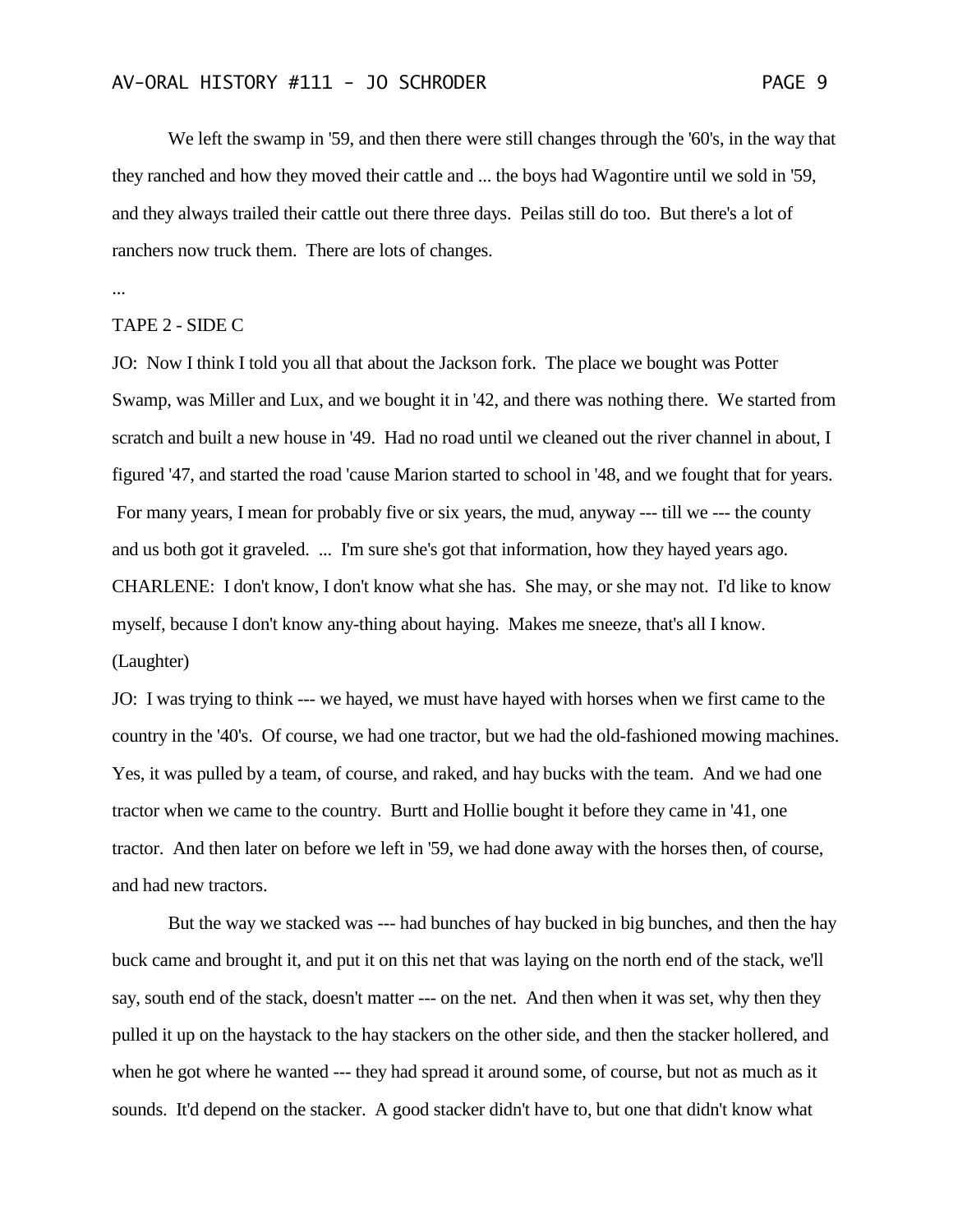We left the swamp in '59, and then there were still changes through the '60's, in the way that they ranched and how they moved their cattle and ... the boys had Wagontire until we sold in '59, and they always trailed their cattle out there three days. Peilas still do too. But there's a lot of ranchers now truck them. There are lots of changes.

...

#### TAPE 2 - SIDE C

JO: Now I think I told you all that about the Jackson fork. The place we bought was Potter Swamp, was Miller and Lux, and we bought it in '42, and there was nothing there. We started from scratch and built a new house in '49. Had no road until we cleaned out the river channel in about, I figured '47, and started the road 'cause Marion started to school in '48, and we fought that for years. For many years, I mean for probably five or six years, the mud, anyway --- till we --- the county and us both got it graveled. ... I'm sure she's got that information, how they hayed years ago. CHARLENE: I don't know, I don't know what she has. She may, or she may not. I'd like to know myself, because I don't know any-thing about haying. Makes me sneeze, that's all I know. (Laughter)

JO: I was trying to think --- we hayed, we must have hayed with horses when we first came to the country in the '40's. Of course, we had one tractor, but we had the old-fashioned mowing machines. Yes, it was pulled by a team, of course, and raked, and hay bucks with the team. And we had one tractor when we came to the country. Burtt and Hollie bought it before they came in '41, one tractor. And then later on before we left in '59, we had done away with the horses then, of course, and had new tractors.

But the way we stacked was --- had bunches of hay bucked in big bunches, and then the hay buck came and brought it, and put it on this net that was laying on the north end of the stack, we'll say, south end of the stack, doesn't matter --- on the net. And then when it was set, why then they pulled it up on the haystack to the hay stackers on the other side, and then the stacker hollered, and when he got where he wanted --- they had spread it around some, of course, but not as much as it sounds. It'd depend on the stacker. A good stacker didn't have to, but one that didn't know what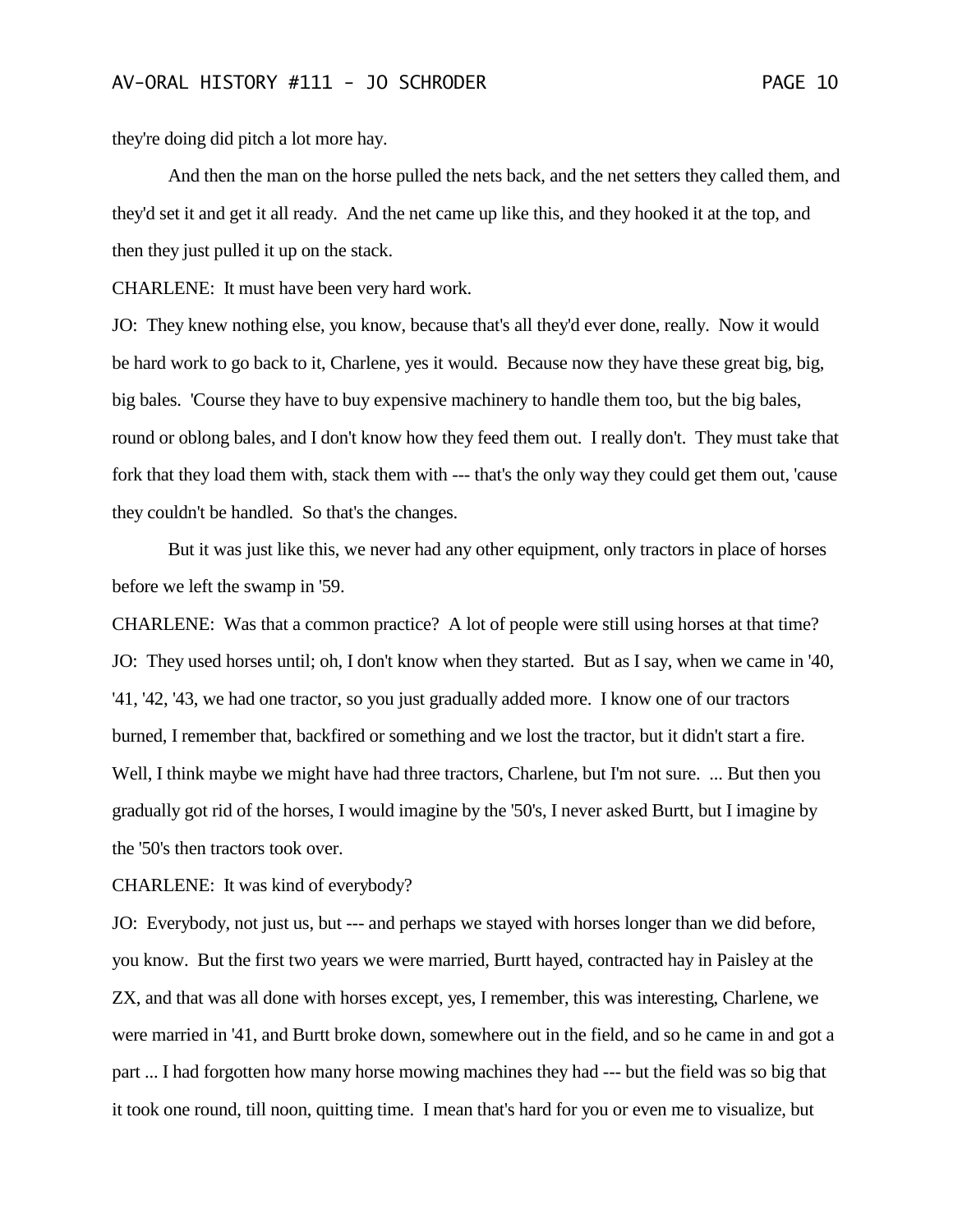they're doing did pitch a lot more hay.

And then the man on the horse pulled the nets back, and the net setters they called them, and they'd set it and get it all ready. And the net came up like this, and they hooked it at the top, and then they just pulled it up on the stack.

CHARLENE: It must have been very hard work.

JO: They knew nothing else, you know, because that's all they'd ever done, really. Now it would be hard work to go back to it, Charlene, yes it would. Because now they have these great big, big, big bales. 'Course they have to buy expensive machinery to handle them too, but the big bales, round or oblong bales, and I don't know how they feed them out. I really don't. They must take that fork that they load them with, stack them with --- that's the only way they could get them out, 'cause they couldn't be handled. So that's the changes.

But it was just like this, we never had any other equipment, only tractors in place of horses before we left the swamp in '59.

CHARLENE: Was that a common practice? A lot of people were still using horses at that time? JO: They used horses until; oh, I don't know when they started. But as I say, when we came in '40, '41, '42, '43, we had one tractor, so you just gradually added more. I know one of our tractors burned, I remember that, backfired or something and we lost the tractor, but it didn't start a fire. Well, I think maybe we might have had three tractors, Charlene, but I'm not sure. ... But then you gradually got rid of the horses, I would imagine by the '50's, I never asked Burtt, but I imagine by the '50's then tractors took over.

CHARLENE: It was kind of everybody?

JO: Everybody, not just us, but --- and perhaps we stayed with horses longer than we did before, you know. But the first two years we were married, Burtt hayed, contracted hay in Paisley at the ZX, and that was all done with horses except, yes, I remember, this was interesting, Charlene, we were married in '41, and Burtt broke down, somewhere out in the field, and so he came in and got a part ... I had forgotten how many horse mowing machines they had --- but the field was so big that it took one round, till noon, quitting time. I mean that's hard for you or even me to visualize, but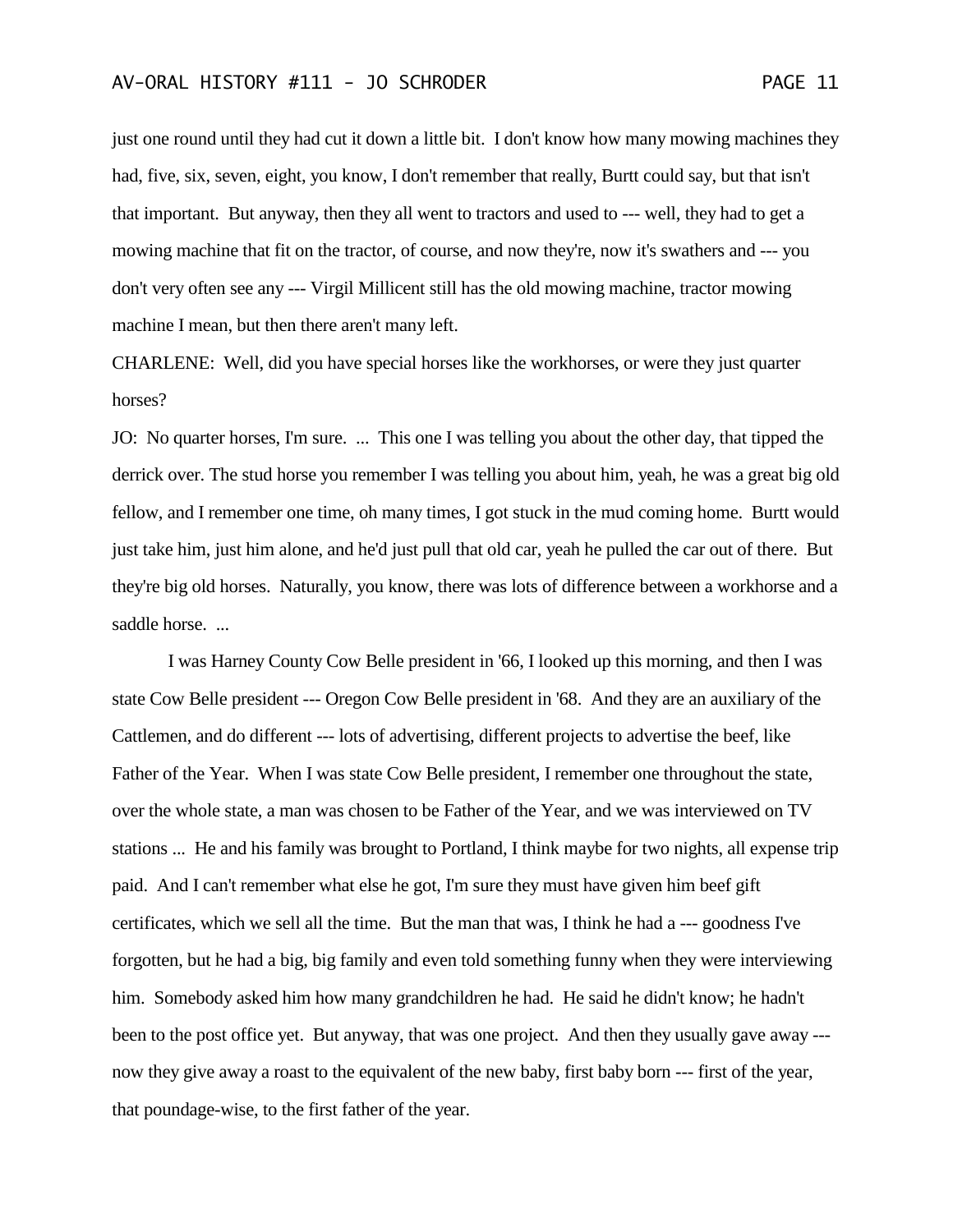just one round until they had cut it down a little bit. I don't know how many mowing machines they had, five, six, seven, eight, you know, I don't remember that really, Burtt could say, but that isn't that important. But anyway, then they all went to tractors and used to --- well, they had to get a mowing machine that fit on the tractor, of course, and now they're, now it's swathers and --- you don't very often see any --- Virgil Millicent still has the old mowing machine, tractor mowing machine I mean, but then there aren't many left.

CHARLENE: Well, did you have special horses like the workhorses, or were they just quarter horses?

JO: No quarter horses, I'm sure. ... This one I was telling you about the other day, that tipped the derrick over. The stud horse you remember I was telling you about him, yeah, he was a great big old fellow, and I remember one time, oh many times, I got stuck in the mud coming home. Burtt would just take him, just him alone, and he'd just pull that old car, yeah he pulled the car out of there. But they're big old horses. Naturally, you know, there was lots of difference between a workhorse and a saddle horse...

I was Harney County Cow Belle president in '66, I looked up this morning, and then I was state Cow Belle president --- Oregon Cow Belle president in '68. And they are an auxiliary of the Cattlemen, and do different --- lots of advertising, different projects to advertise the beef, like Father of the Year. When I was state Cow Belle president, I remember one throughout the state, over the whole state, a man was chosen to be Father of the Year, and we was interviewed on TV stations ... He and his family was brought to Portland, I think maybe for two nights, all expense trip paid. And I can't remember what else he got, I'm sure they must have given him beef gift certificates, which we sell all the time. But the man that was, I think he had a --- goodness I've forgotten, but he had a big, big family and even told something funny when they were interviewing him. Somebody asked him how many grandchildren he had. He said he didn't know; he hadn't been to the post office yet. But anyway, that was one project. And then they usually gave away -- now they give away a roast to the equivalent of the new baby, first baby born --- first of the year, that poundage-wise, to the first father of the year.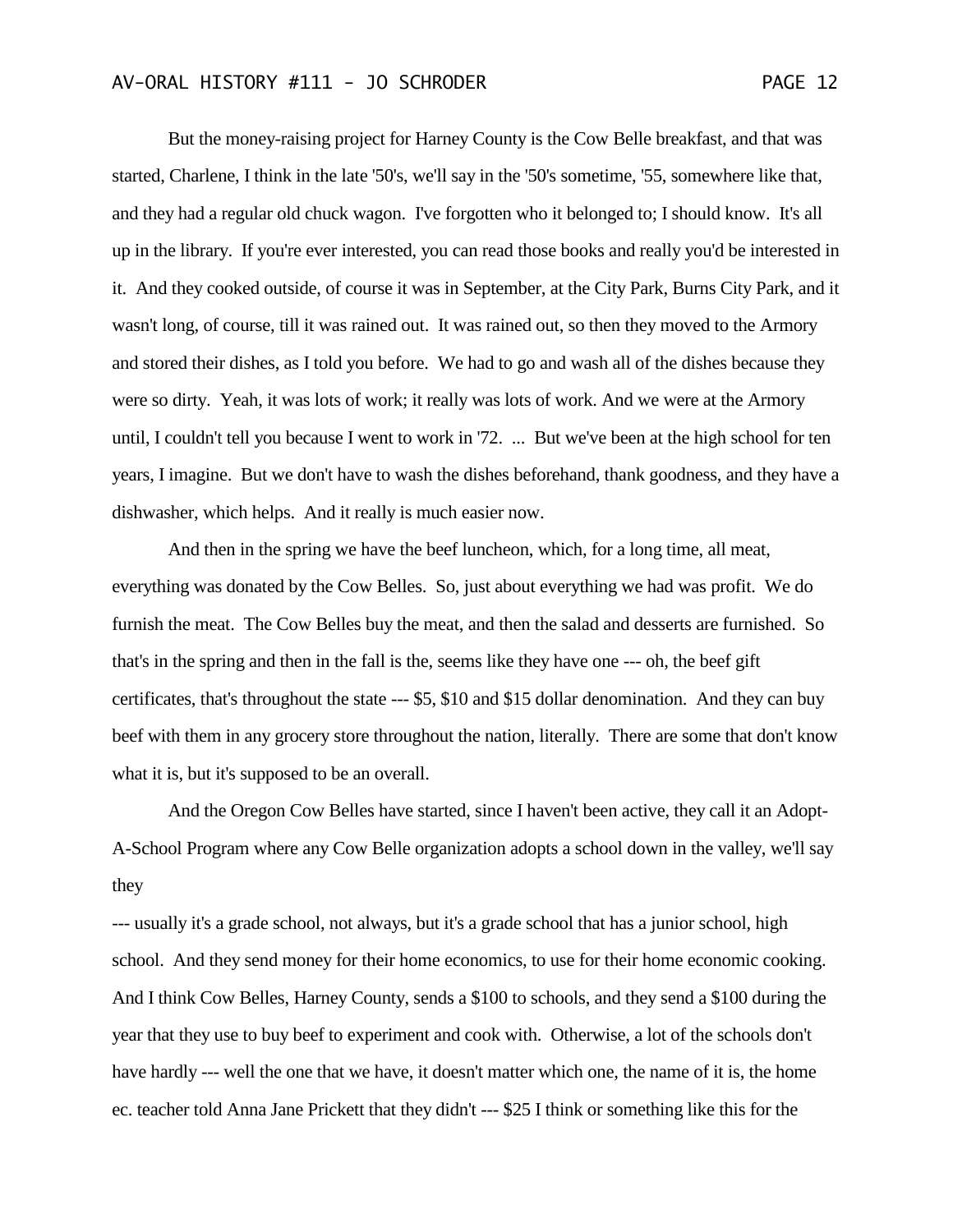But the money-raising project for Harney County is the Cow Belle breakfast, and that was started, Charlene, I think in the late '50's, we'll say in the '50's sometime, '55, somewhere like that, and they had a regular old chuck wagon. I've forgotten who it belonged to; I should know. It's all up in the library. If you're ever interested, you can read those books and really you'd be interested in it. And they cooked outside, of course it was in September, at the City Park, Burns City Park, and it wasn't long, of course, till it was rained out. It was rained out, so then they moved to the Armory and stored their dishes, as I told you before. We had to go and wash all of the dishes because they were so dirty. Yeah, it was lots of work; it really was lots of work. And we were at the Armory until, I couldn't tell you because I went to work in '72. ... But we've been at the high school for ten years, I imagine. But we don't have to wash the dishes beforehand, thank goodness, and they have a dishwasher, which helps. And it really is much easier now.

And then in the spring we have the beef luncheon, which, for a long time, all meat, everything was donated by the Cow Belles. So, just about everything we had was profit. We do furnish the meat. The Cow Belles buy the meat, and then the salad and desserts are furnished. So that's in the spring and then in the fall is the, seems like they have one --- oh, the beef gift certificates, that's throughout the state --- \$5, \$10 and \$15 dollar denomination. And they can buy beef with them in any grocery store throughout the nation, literally. There are some that don't know what it is, but it's supposed to be an overall.

And the Oregon Cow Belles have started, since I haven't been active, they call it an Adopt-A-School Program where any Cow Belle organization adopts a school down in the valley, we'll say they

--- usually it's a grade school, not always, but it's a grade school that has a junior school, high school. And they send money for their home economics, to use for their home economic cooking. And I think Cow Belles, Harney County, sends a \$100 to schools, and they send a \$100 during the year that they use to buy beef to experiment and cook with. Otherwise, a lot of the schools don't have hardly --- well the one that we have, it doesn't matter which one, the name of it is, the home ec. teacher told Anna Jane Prickett that they didn't --- \$25 I think or something like this for the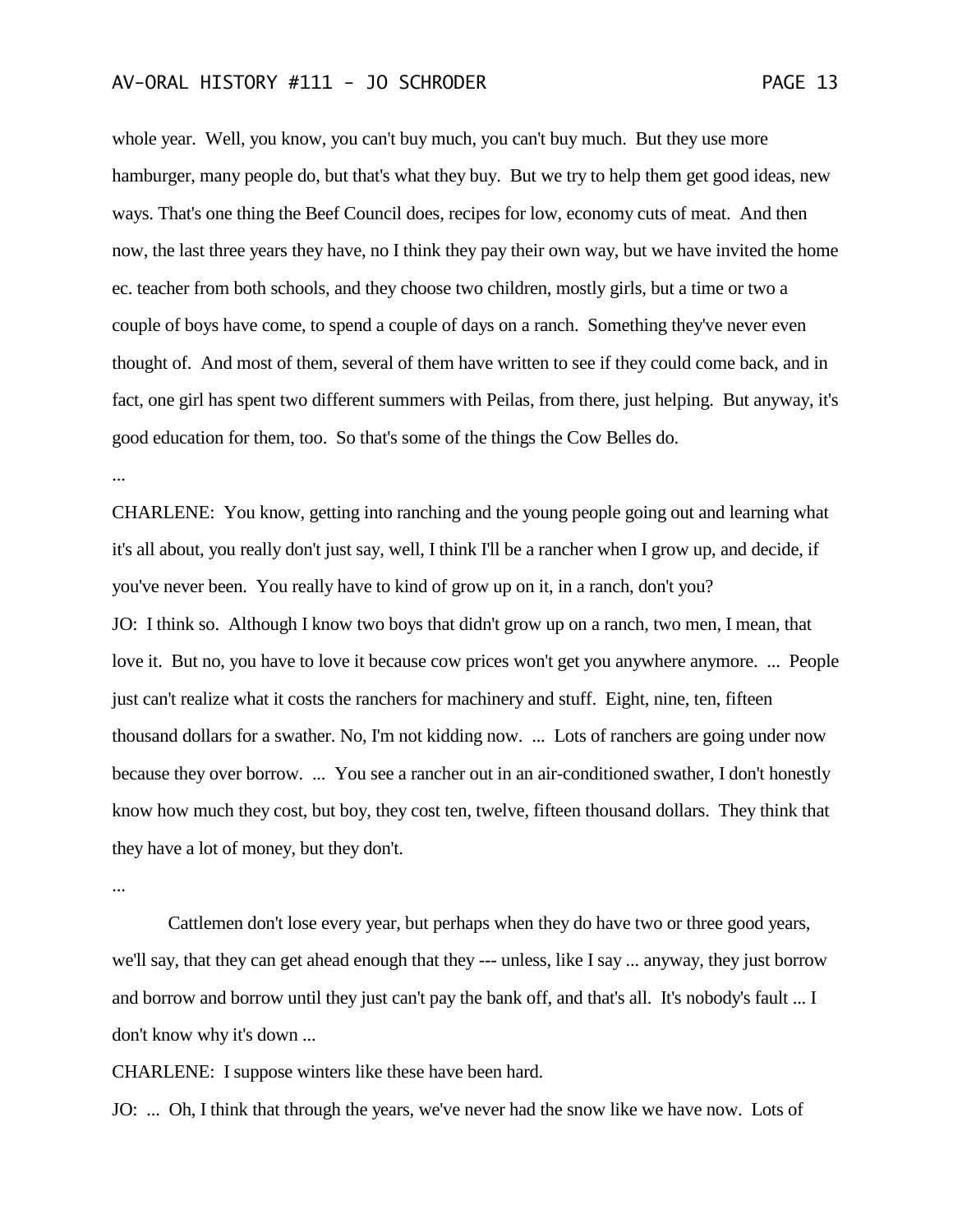whole year. Well, you know, you can't buy much, you can't buy much. But they use more hamburger, many people do, but that's what they buy. But we try to help them get good ideas, new ways. That's one thing the Beef Council does, recipes for low, economy cuts of meat. And then now, the last three years they have, no I think they pay their own way, but we have invited the home ec. teacher from both schools, and they choose two children, mostly girls, but a time or two a couple of boys have come, to spend a couple of days on a ranch. Something they've never even thought of. And most of them, several of them have written to see if they could come back, and in fact, one girl has spent two different summers with Peilas, from there, just helping. But anyway, it's good education for them, too. So that's some of the things the Cow Belles do.

...

CHARLENE: You know, getting into ranching and the young people going out and learning what it's all about, you really don't just say, well, I think I'll be a rancher when I grow up, and decide, if you've never been. You really have to kind of grow up on it, in a ranch, don't you? JO: I think so. Although I know two boys that didn't grow up on a ranch, two men, I mean, that love it. But no, you have to love it because cow prices won't get you anywhere anymore. ... People just can't realize what it costs the ranchers for machinery and stuff. Eight, nine, ten, fifteen thousand dollars for a swather. No, I'm not kidding now. ... Lots of ranchers are going under now because they over borrow. ... You see a rancher out in an air-conditioned swather, I don't honestly know how much they cost, but boy, they cost ten, twelve, fifteen thousand dollars. They think that they have a lot of money, but they don't.

...

Cattlemen don't lose every year, but perhaps when they do have two or three good years, we'll say, that they can get ahead enough that they --- unless, like I say ... anyway, they just borrow and borrow and borrow until they just can't pay the bank off, and that's all. It's nobody's fault ... I don't know why it's down ...

CHARLENE: I suppose winters like these have been hard.

JO: ... Oh, I think that through the years, we've never had the snow like we have now. Lots of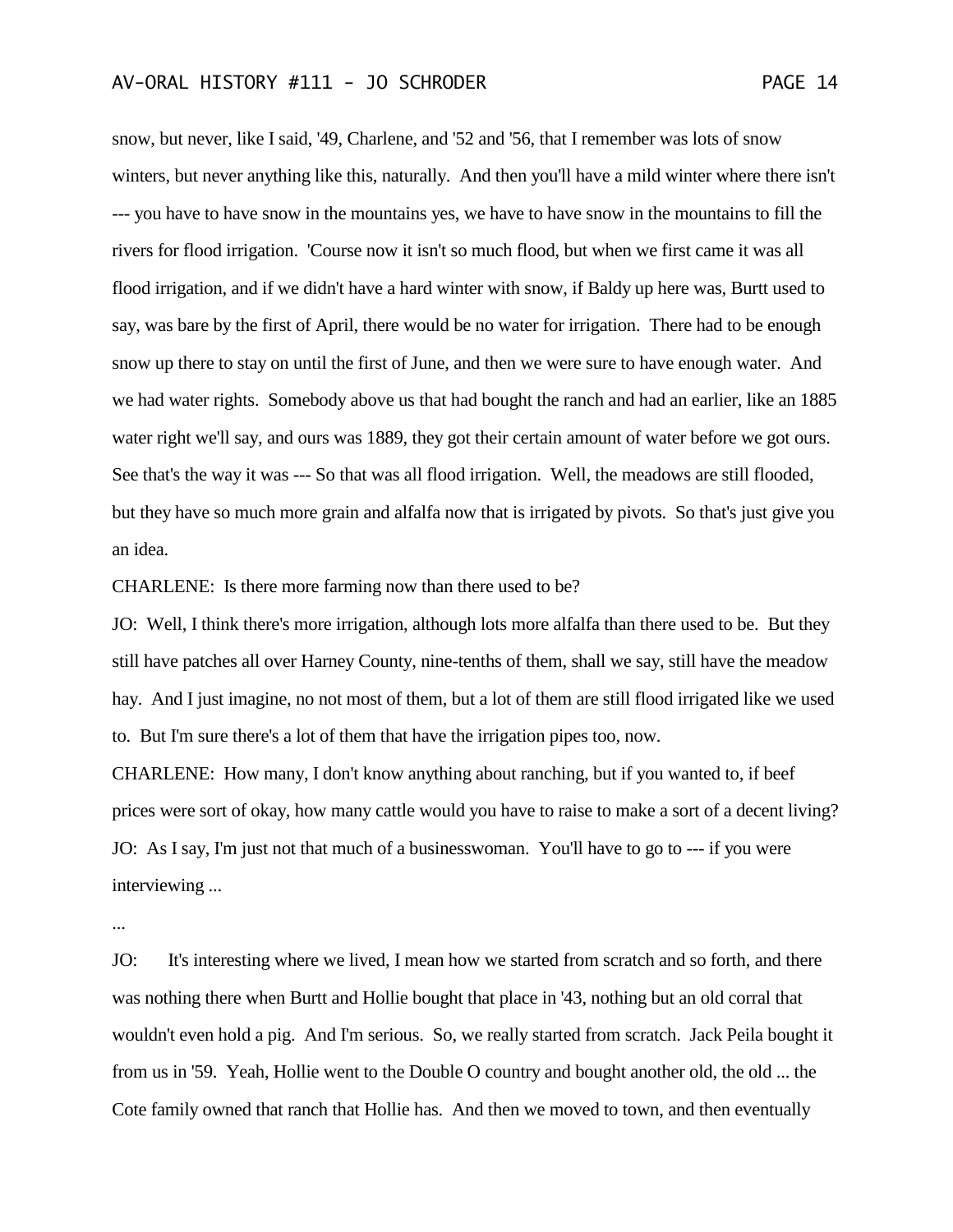snow, but never, like I said, '49, Charlene, and '52 and '56, that I remember was lots of snow winters, but never anything like this, naturally. And then you'll have a mild winter where there isn't --- you have to have snow in the mountains yes, we have to have snow in the mountains to fill the rivers for flood irrigation. 'Course now it isn't so much flood, but when we first came it was all flood irrigation, and if we didn't have a hard winter with snow, if Baldy up here was, Burtt used to say, was bare by the first of April, there would be no water for irrigation. There had to be enough snow up there to stay on until the first of June, and then we were sure to have enough water. And we had water rights. Somebody above us that had bought the ranch and had an earlier, like an 1885 water right we'll say, and ours was 1889, they got their certain amount of water before we got ours. See that's the way it was --- So that was all flood irrigation. Well, the meadows are still flooded, but they have so much more grain and alfalfa now that is irrigated by pivots. So that's just give you an idea.

CHARLENE: Is there more farming now than there used to be?

JO: Well, I think there's more irrigation, although lots more alfalfa than there used to be. But they still have patches all over Harney County, nine-tenths of them, shall we say, still have the meadow hay. And I just imagine, no not most of them, but a lot of them are still flood irrigated like we used to. But I'm sure there's a lot of them that have the irrigation pipes too, now.

CHARLENE: How many, I don't know anything about ranching, but if you wanted to, if beef prices were sort of okay, how many cattle would you have to raise to make a sort of a decent living? JO: As I say, I'm just not that much of a businesswoman. You'll have to go to --- if you were interviewing ...

...

JO: It's interesting where we lived, I mean how we started from scratch and so forth, and there was nothing there when Burtt and Hollie bought that place in '43, nothing but an old corral that wouldn't even hold a pig. And I'm serious. So, we really started from scratch. Jack Peila bought it from us in '59. Yeah, Hollie went to the Double O country and bought another old, the old ... the Cote family owned that ranch that Hollie has. And then we moved to town, and then eventually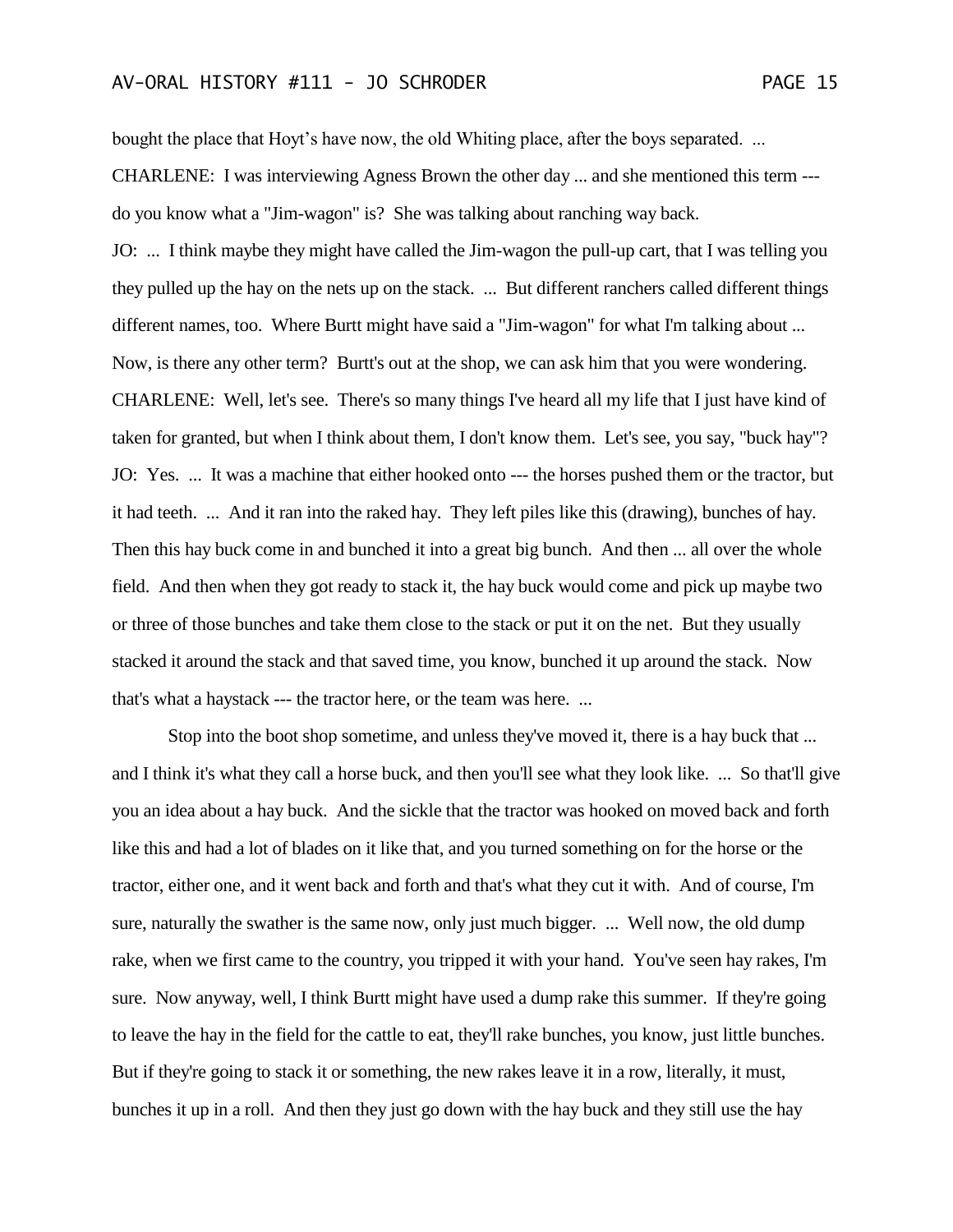bought the place that Hoyt's have now, the old Whiting place, after the boys separated. ...

CHARLENE: I was interviewing Agness Brown the other day ... and she mentioned this term -- do you know what a "Jim-wagon" is? She was talking about ranching way back.

JO: ... I think maybe they might have called the Jim-wagon the pull-up cart, that I was telling you they pulled up the hay on the nets up on the stack. ... But different ranchers called different things different names, too. Where Burtt might have said a "Jim-wagon" for what I'm talking about ... Now, is there any other term? Burtt's out at the shop, we can ask him that you were wondering. CHARLENE: Well, let's see. There's so many things I've heard all my life that I just have kind of taken for granted, but when I think about them, I don't know them. Let's see, you say, "buck hay"? JO: Yes. ... It was a machine that either hooked onto --- the horses pushed them or the tractor, but it had teeth. ... And it ran into the raked hay. They left piles like this (drawing), bunches of hay. Then this hay buck come in and bunched it into a great big bunch. And then ... all over the whole field. And then when they got ready to stack it, the hay buck would come and pick up maybe two or three of those bunches and take them close to the stack or put it on the net. But they usually stacked it around the stack and that saved time, you know, bunched it up around the stack. Now that's what a haystack --- the tractor here, or the team was here. ...

Stop into the boot shop sometime, and unless they've moved it, there is a hay buck that ... and I think it's what they call a horse buck, and then you'll see what they look like. ... So that'll give you an idea about a hay buck. And the sickle that the tractor was hooked on moved back and forth like this and had a lot of blades on it like that, and you turned something on for the horse or the tractor, either one, and it went back and forth and that's what they cut it with. And of course, I'm sure, naturally the swather is the same now, only just much bigger. ... Well now, the old dump rake, when we first came to the country, you tripped it with your hand. You've seen hay rakes, I'm sure. Now anyway, well, I think Burtt might have used a dump rake this summer. If they're going to leave the hay in the field for the cattle to eat, they'll rake bunches, you know, just little bunches. But if they're going to stack it or something, the new rakes leave it in a row, literally, it must, bunches it up in a roll. And then they just go down with the hay buck and they still use the hay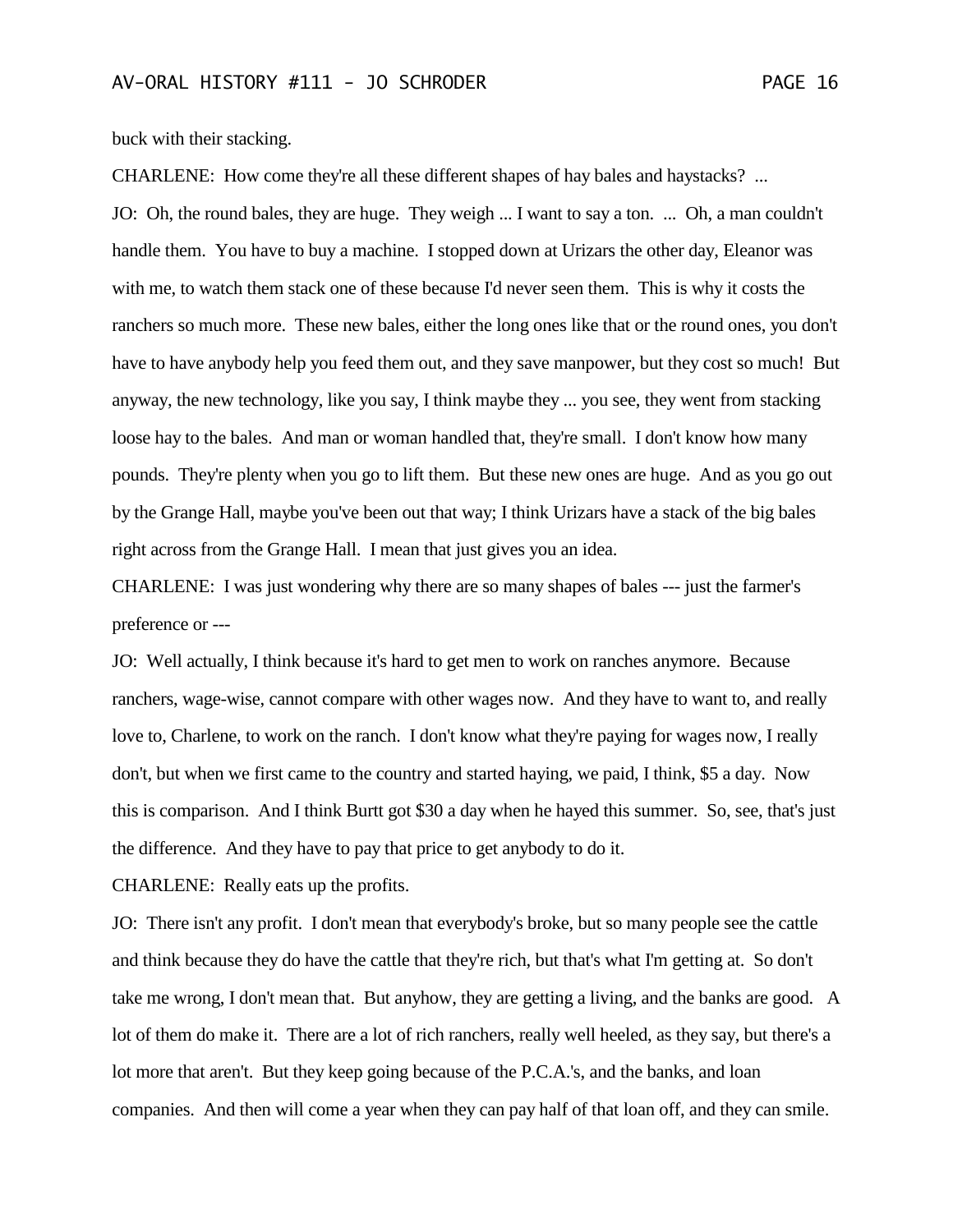buck with their stacking.

CHARLENE: How come they're all these different shapes of hay bales and haystacks? ... JO: Oh, the round bales, they are huge. They weigh ... I want to say a ton. ... Oh, a man couldn't handle them. You have to buy a machine. I stopped down at Urizars the other day, Eleanor was with me, to watch them stack one of these because I'd never seen them. This is why it costs the ranchers so much more. These new bales, either the long ones like that or the round ones, you don't have to have anybody help you feed them out, and they save manpower, but they cost so much! But anyway, the new technology, like you say, I think maybe they ... you see, they went from stacking loose hay to the bales. And man or woman handled that, they're small. I don't know how many pounds. They're plenty when you go to lift them. But these new ones are huge. And as you go out by the Grange Hall, maybe you've been out that way; I think Urizars have a stack of the big bales right across from the Grange Hall. I mean that just gives you an idea.

CHARLENE: I was just wondering why there are so many shapes of bales --- just the farmer's preference or ---

JO: Well actually, I think because it's hard to get men to work on ranches anymore. Because ranchers, wage-wise, cannot compare with other wages now. And they have to want to, and really love to, Charlene, to work on the ranch. I don't know what they're paying for wages now, I really don't, but when we first came to the country and started haying, we paid, I think, \$5 a day. Now this is comparison. And I think Burtt got \$30 a day when he hayed this summer. So, see, that's just the difference. And they have to pay that price to get anybody to do it.

CHARLENE: Really eats up the profits.

JO: There isn't any profit. I don't mean that everybody's broke, but so many people see the cattle and think because they do have the cattle that they're rich, but that's what I'm getting at. So don't take me wrong, I don't mean that. But anyhow, they are getting a living, and the banks are good. A lot of them do make it. There are a lot of rich ranchers, really well heeled, as they say, but there's a lot more that aren't. But they keep going because of the P.C.A.'s, and the banks, and loan companies. And then will come a year when they can pay half of that loan off, and they can smile.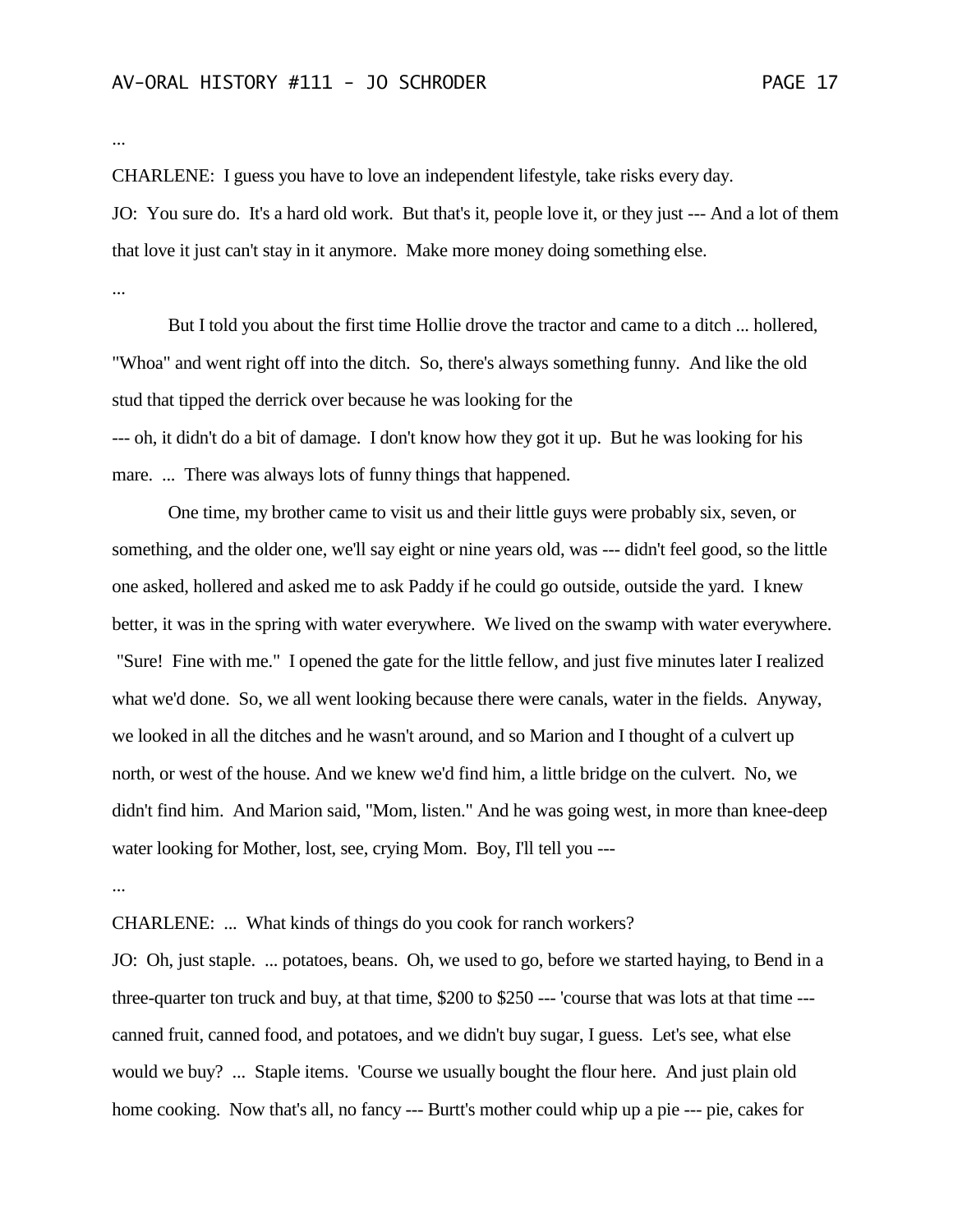...

CHARLENE: I guess you have to love an independent lifestyle, take risks every day.

JO: You sure do. It's a hard old work. But that's it, people love it, or they just --- And a lot of them that love it just can't stay in it anymore. Make more money doing something else.

...

But I told you about the first time Hollie drove the tractor and came to a ditch ... hollered, "Whoa" and went right off into the ditch. So, there's always something funny. And like the old stud that tipped the derrick over because he was looking for the --- oh, it didn't do a bit of damage. I don't know how they got it up. But he was looking for his mare. ... There was always lots of funny things that happened.

One time, my brother came to visit us and their little guys were probably six, seven, or something, and the older one, we'll say eight or nine years old, was --- didn't feel good, so the little one asked, hollered and asked me to ask Paddy if he could go outside, outside the yard. I knew better, it was in the spring with water everywhere. We lived on the swamp with water everywhere. "Sure! Fine with me." I opened the gate for the little fellow, and just five minutes later I realized what we'd done. So, we all went looking because there were canals, water in the fields. Anyway, we looked in all the ditches and he wasn't around, and so Marion and I thought of a culvert up north, or west of the house. And we knew we'd find him, a little bridge on the culvert. No, we didn't find him. And Marion said, "Mom, listen." And he was going west, in more than knee-deep water looking for Mother, lost, see, crying Mom. Boy, I'll tell you ---

...

CHARLENE: ... What kinds of things do you cook for ranch workers?

JO: Oh, just staple. ... potatoes, beans. Oh, we used to go, before we started haying, to Bend in a three-quarter ton truck and buy, at that time, \$200 to \$250 --- 'course that was lots at that time -- canned fruit, canned food, and potatoes, and we didn't buy sugar, I guess. Let's see, what else would we buy? ... Staple items. 'Course we usually bought the flour here. And just plain old home cooking. Now that's all, no fancy --- Burtt's mother could whip up a pie --- pie, cakes for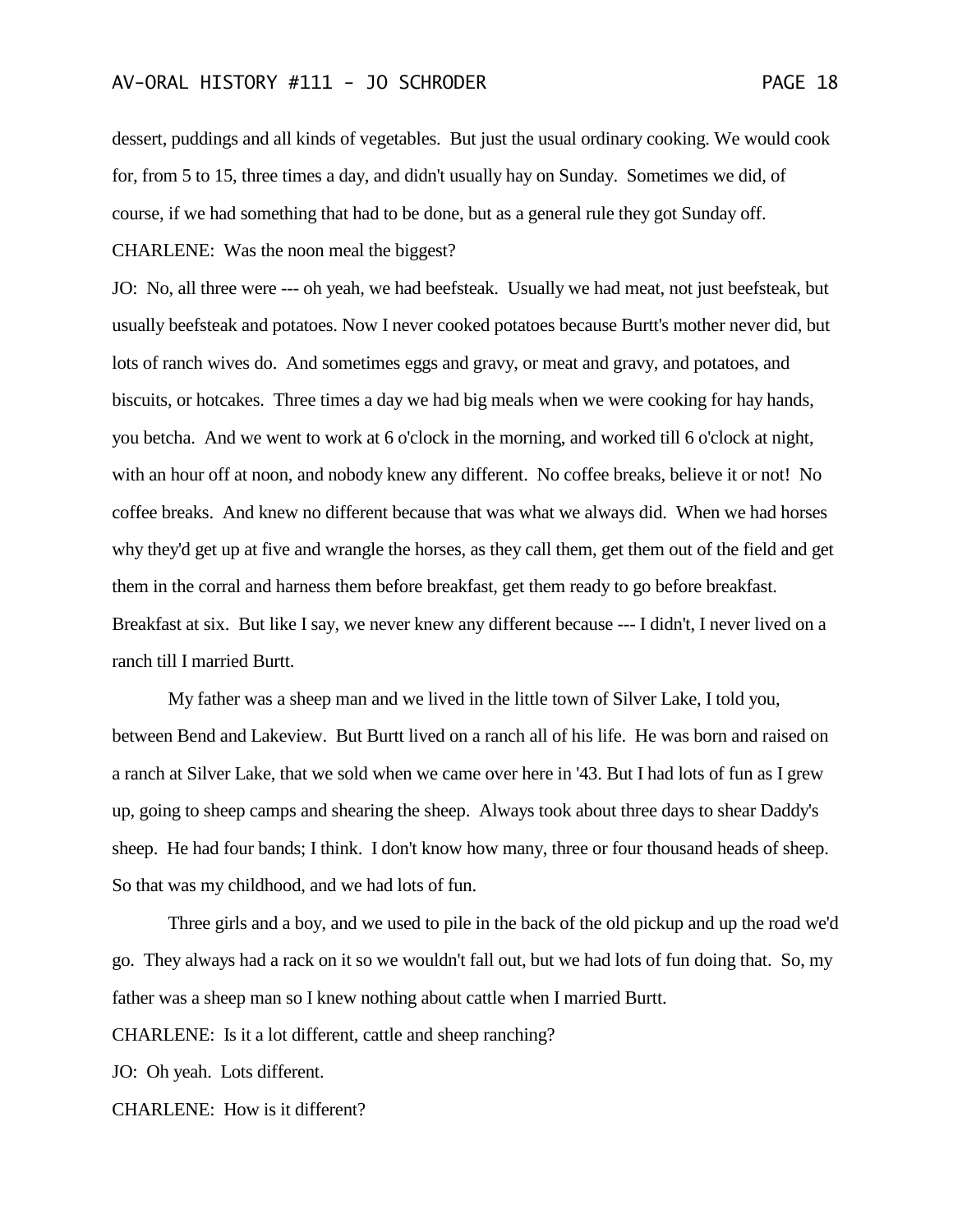dessert, puddings and all kinds of vegetables. But just the usual ordinary cooking. We would cook for, from 5 to 15, three times a day, and didn't usually hay on Sunday. Sometimes we did, of course, if we had something that had to be done, but as a general rule they got Sunday off. CHARLENE: Was the noon meal the biggest?

JO: No, all three were --- oh yeah, we had beefsteak. Usually we had meat, not just beefsteak, but usually beefsteak and potatoes. Now I never cooked potatoes because Burtt's mother never did, but lots of ranch wives do. And sometimes eggs and gravy, or meat and gravy, and potatoes, and biscuits, or hotcakes. Three times a day we had big meals when we were cooking for hay hands, you betcha. And we went to work at 6 o'clock in the morning, and worked till 6 o'clock at night, with an hour off at noon, and nobody knew any different. No coffee breaks, believe it or not! No coffee breaks. And knew no different because that was what we always did. When we had horses why they'd get up at five and wrangle the horses, as they call them, get them out of the field and get them in the corral and harness them before breakfast, get them ready to go before breakfast. Breakfast at six. But like I say, we never knew any different because --- I didn't, I never lived on a ranch till I married Burtt.

My father was a sheep man and we lived in the little town of Silver Lake, I told you, between Bend and Lakeview. But Burtt lived on a ranch all of his life. He was born and raised on a ranch at Silver Lake, that we sold when we came over here in '43. But I had lots of fun as I grew up, going to sheep camps and shearing the sheep. Always took about three days to shear Daddy's sheep. He had four bands; I think. I don't know how many, three or four thousand heads of sheep. So that was my childhood, and we had lots of fun.

Three girls and a boy, and we used to pile in the back of the old pickup and up the road we'd go. They always had a rack on it so we wouldn't fall out, but we had lots of fun doing that. So, my father was a sheep man so I knew nothing about cattle when I married Burtt.

CHARLENE: Is it a lot different, cattle and sheep ranching?

JO: Oh yeah. Lots different.

CHARLENE: How is it different?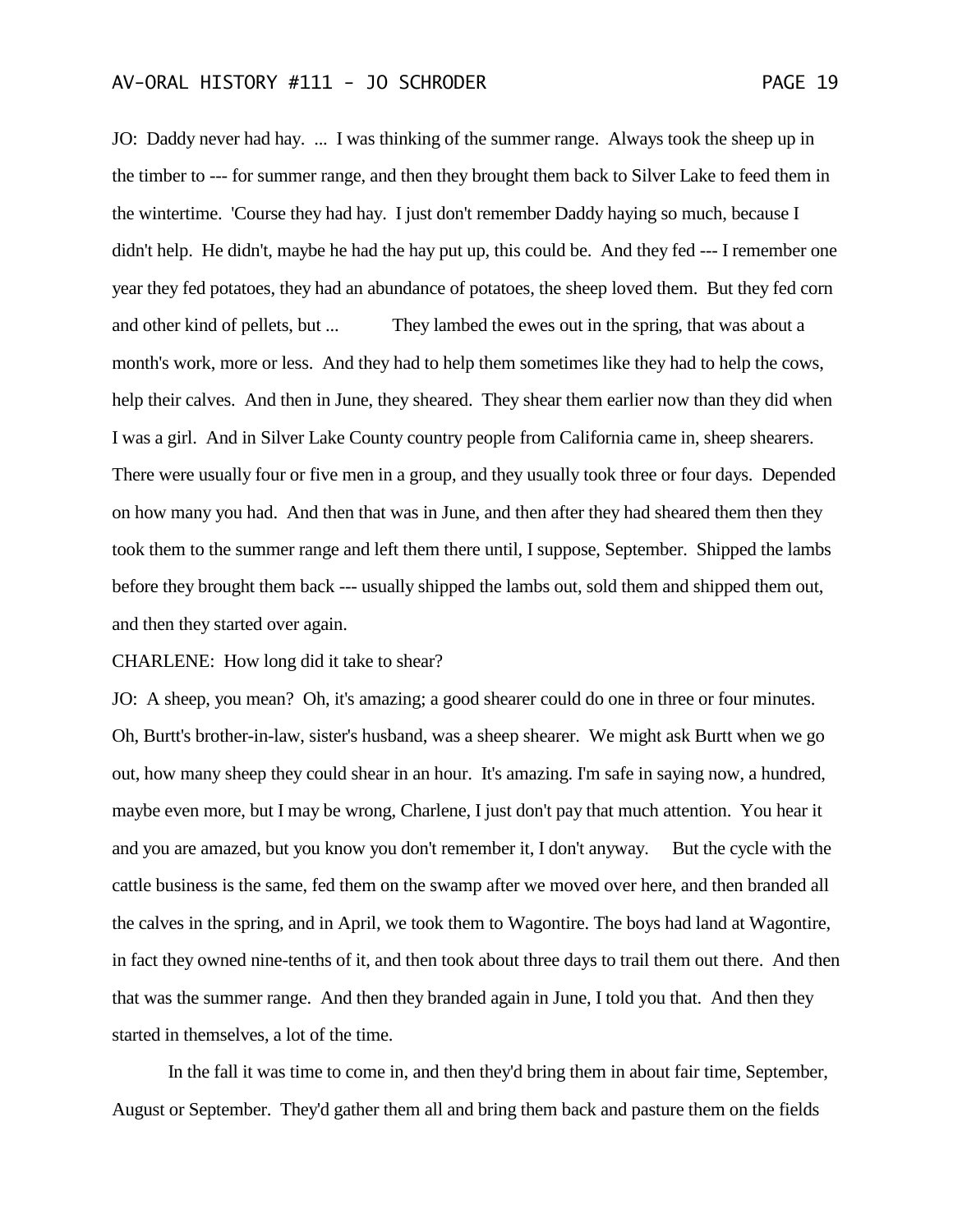JO: Daddy never had hay. ... I was thinking of the summer range. Always took the sheep up in the timber to --- for summer range, and then they brought them back to Silver Lake to feed them in the wintertime. 'Course they had hay. I just don't remember Daddy haying so much, because I didn't help. He didn't, maybe he had the hay put up, this could be. And they fed --- I remember one year they fed potatoes, they had an abundance of potatoes, the sheep loved them. But they fed corn and other kind of pellets, but ... They lambed the ewes out in the spring, that was about a month's work, more or less. And they had to help them sometimes like they had to help the cows, help their calves. And then in June, they sheared. They shear them earlier now than they did when I was a girl. And in Silver Lake County country people from California came in, sheep shearers. There were usually four or five men in a group, and they usually took three or four days. Depended on how many you had. And then that was in June, and then after they had sheared them then they took them to the summer range and left them there until, I suppose, September. Shipped the lambs before they brought them back --- usually shipped the lambs out, sold them and shipped them out, and then they started over again.

CHARLENE: How long did it take to shear?

JO: A sheep, you mean? Oh, it's amazing; a good shearer could do one in three or four minutes. Oh, Burtt's brother-in-law, sister's husband, was a sheep shearer. We might ask Burtt when we go out, how many sheep they could shear in an hour. It's amazing. I'm safe in saying now, a hundred, maybe even more, but I may be wrong, Charlene, I just don't pay that much attention. You hear it and you are amazed, but you know you don't remember it, I don't anyway. But the cycle with the cattle business is the same, fed them on the swamp after we moved over here, and then branded all the calves in the spring, and in April, we took them to Wagontire. The boys had land at Wagontire, in fact they owned nine-tenths of it, and then took about three days to trail them out there. And then that was the summer range. And then they branded again in June, I told you that. And then they started in themselves, a lot of the time.

In the fall it was time to come in, and then they'd bring them in about fair time, September, August or September. They'd gather them all and bring them back and pasture them on the fields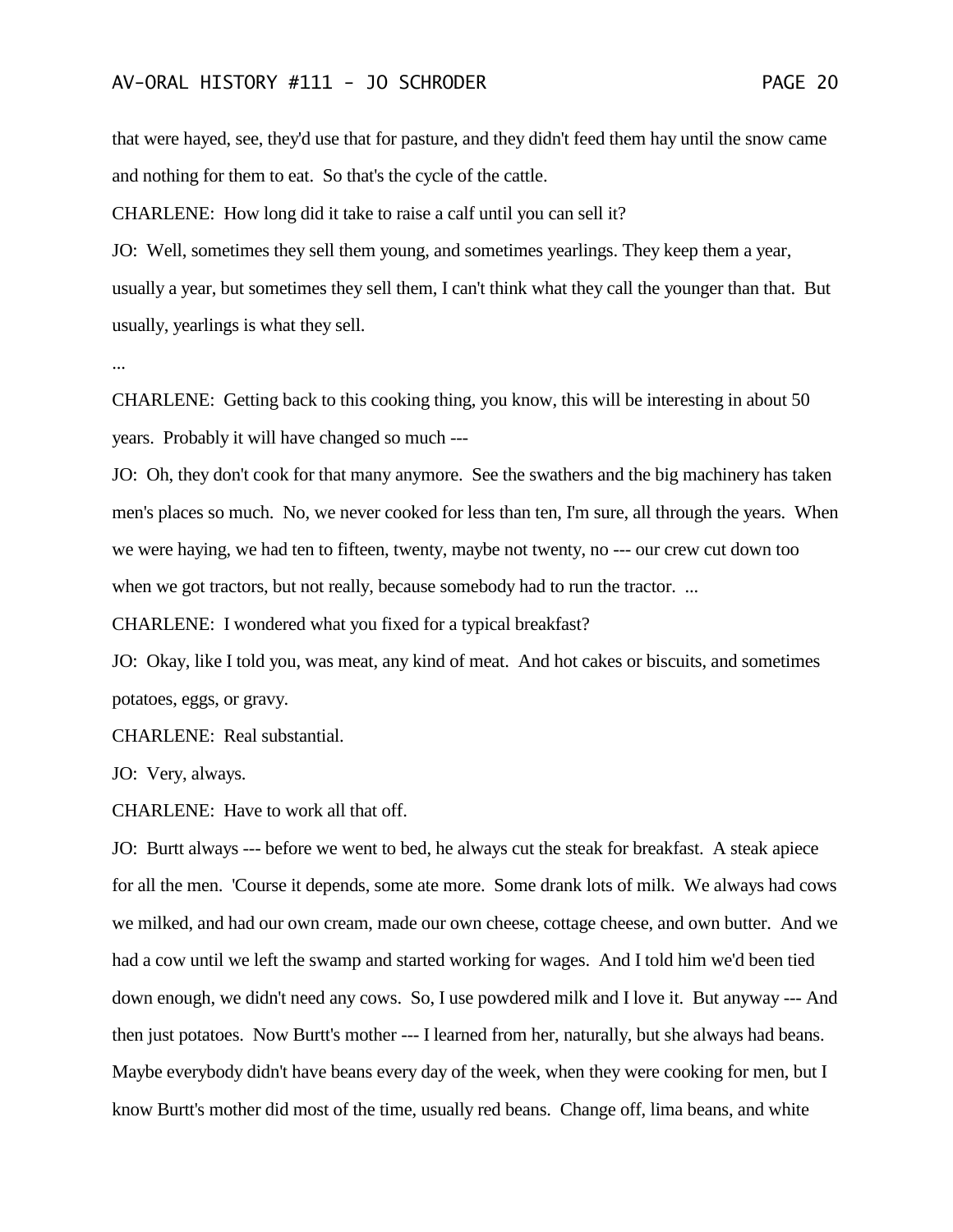that were hayed, see, they'd use that for pasture, and they didn't feed them hay until the snow came and nothing for them to eat. So that's the cycle of the cattle.

CHARLENE: How long did it take to raise a calf until you can sell it?

JO: Well, sometimes they sell them young, and sometimes yearlings. They keep them a year, usually a year, but sometimes they sell them, I can't think what they call the younger than that. But usually, yearlings is what they sell.

...

CHARLENE: Getting back to this cooking thing, you know, this will be interesting in about 50 years. Probably it will have changed so much ---

JO: Oh, they don't cook for that many anymore. See the swathers and the big machinery has taken men's places so much. No, we never cooked for less than ten, I'm sure, all through the years. When we were haying, we had ten to fifteen, twenty, maybe not twenty, no --- our crew cut down too when we got tractors, but not really, because somebody had to run the tractor. ...

CHARLENE: I wondered what you fixed for a typical breakfast?

JO: Okay, like I told you, was meat, any kind of meat. And hot cakes or biscuits, and sometimes potatoes, eggs, or gravy.

CHARLENE: Real substantial.

JO: Very, always.

CHARLENE: Have to work all that off.

JO: Burtt always --- before we went to bed, he always cut the steak for breakfast. A steak apiece for all the men. 'Course it depends, some ate more. Some drank lots of milk. We always had cows we milked, and had our own cream, made our own cheese, cottage cheese, and own butter. And we had a cow until we left the swamp and started working for wages. And I told him we'd been tied down enough, we didn't need any cows. So, I use powdered milk and I love it. But anyway --- And then just potatoes. Now Burtt's mother --- I learned from her, naturally, but she always had beans. Maybe everybody didn't have beans every day of the week, when they were cooking for men, but I know Burtt's mother did most of the time, usually red beans. Change off, lima beans, and white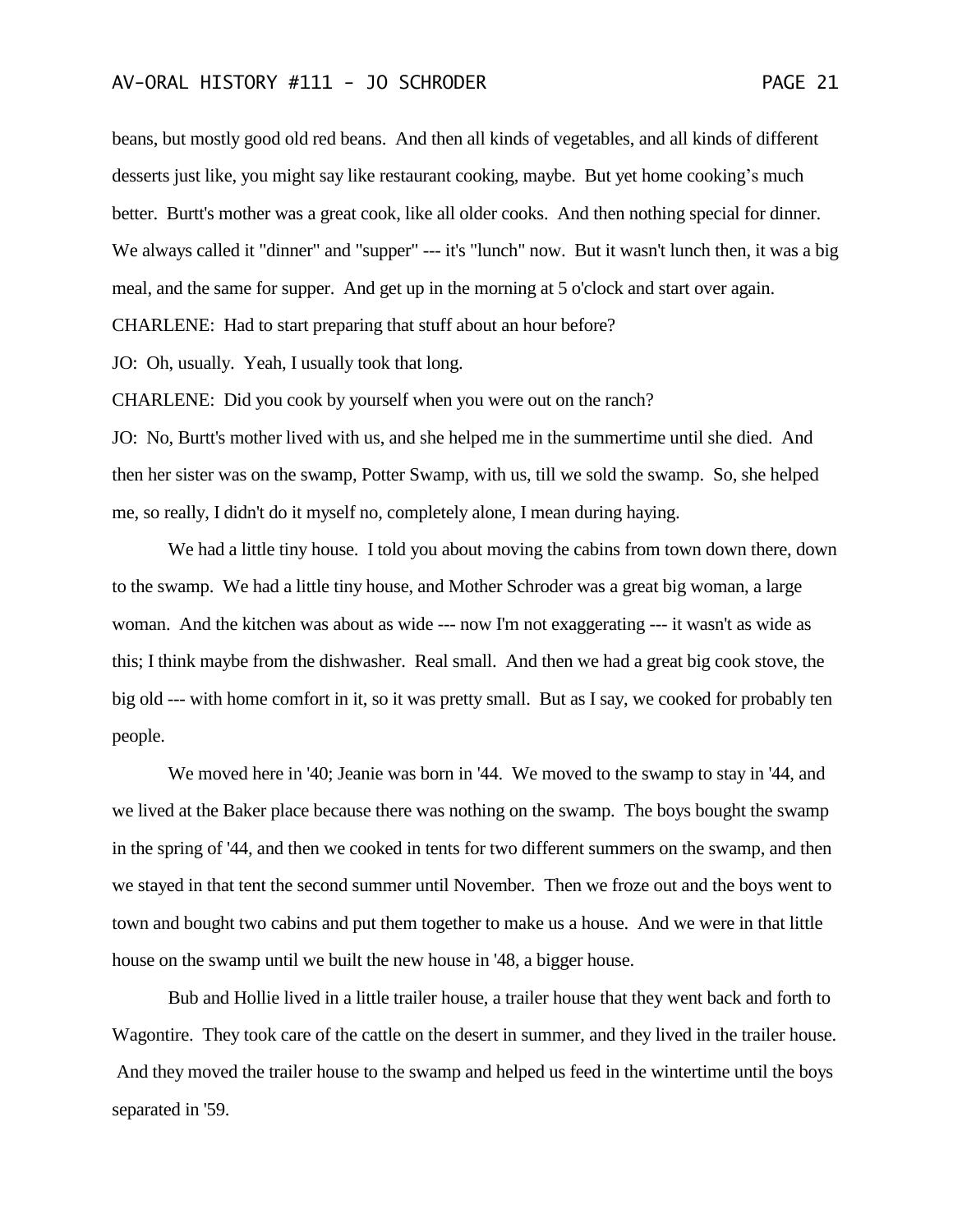beans, but mostly good old red beans. And then all kinds of vegetables, and all kinds of different desserts just like, you might say like restaurant cooking, maybe. But yet home cooking's much better. Burtt's mother was a great cook, like all older cooks. And then nothing special for dinner. We always called it "dinner" and "supper" --- it's "lunch" now. But it wasn't lunch then, it was a big meal, and the same for supper. And get up in the morning at 5 o'clock and start over again. CHARLENE: Had to start preparing that stuff about an hour before?

JO: Oh, usually. Yeah, I usually took that long.

CHARLENE: Did you cook by yourself when you were out on the ranch?

JO: No, Burtt's mother lived with us, and she helped me in the summertime until she died. And then her sister was on the swamp, Potter Swamp, with us, till we sold the swamp. So, she helped me, so really, I didn't do it myself no, completely alone, I mean during haying.

We had a little tiny house. I told you about moving the cabins from town down there, down to the swamp. We had a little tiny house, and Mother Schroder was a great big woman, a large woman. And the kitchen was about as wide --- now I'm not exaggerating --- it wasn't as wide as this; I think maybe from the dishwasher. Real small. And then we had a great big cook stove, the big old --- with home comfort in it, so it was pretty small. But as I say, we cooked for probably ten people.

We moved here in '40; Jeanie was born in '44. We moved to the swamp to stay in '44, and we lived at the Baker place because there was nothing on the swamp. The boys bought the swamp in the spring of '44, and then we cooked in tents for two different summers on the swamp, and then we stayed in that tent the second summer until November. Then we froze out and the boys went to town and bought two cabins and put them together to make us a house. And we were in that little house on the swamp until we built the new house in '48, a bigger house.

Bub and Hollie lived in a little trailer house, a trailer house that they went back and forth to Wagontire. They took care of the cattle on the desert in summer, and they lived in the trailer house. And they moved the trailer house to the swamp and helped us feed in the wintertime until the boys separated in '59.